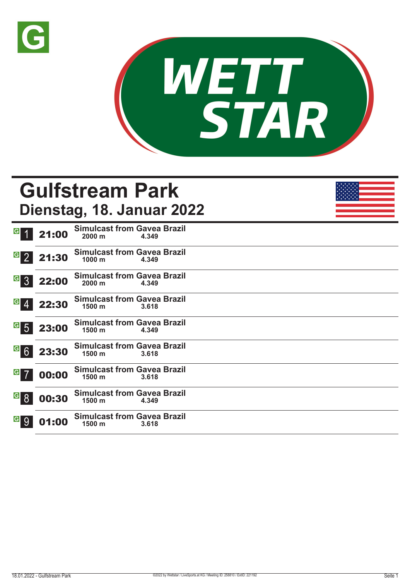



## **Gulfstream Park Dienstag, 18. Januar 2022**

| G 1                                                               | 21:00 | <b>Simulcast from Gavea Brazil</b><br>$2000 \text{ m}$ | 4.349 |  |  |  |
|-------------------------------------------------------------------|-------|--------------------------------------------------------|-------|--|--|--|
| $\overline{G}$ 2                                                  | 21:30 | <b>Simulcast from Gavea Brazil</b><br>1000 m           | 4.349 |  |  |  |
| $G_{3}$                                                           | 22:00 | <b>Simulcast from Gavea Brazil</b><br>$2000 \text{ m}$ | 4.349 |  |  |  |
| $G \boxed{4}$                                                     | 22:30 | <b>Simulcast from Gavea Brazil</b><br>$1500 \text{ m}$ | 3.618 |  |  |  |
| $\begin{array}{ c c } \hline \mathbf{G} & \mathbf{5} \end{array}$ | 23:00 | <b>Simulcast from Gavea Brazil</b><br>1500 m           | 4.349 |  |  |  |
| G6                                                                | 23:30 | <b>Simulcast from Gavea Brazil</b><br>1500 m           | 3.618 |  |  |  |
| $G$ 7                                                             | 00:00 | <b>Simulcast from Gavea Brazil</b><br>1500 m           | 3.618 |  |  |  |
|                                                                   | 00:30 | <b>Simulcast from Gavea Brazil</b><br>1500 m           | 4.349 |  |  |  |
|                                                                   | 01:00 | <b>Simulcast from Gavea Brazil</b><br>1500 m           | 3.618 |  |  |  |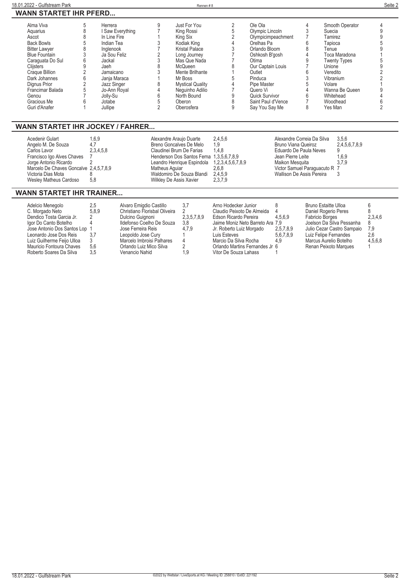| Alma Viva            | Herrera          | Just For You            | Ole Ola            | Smooth Operator     |  |
|----------------------|------------------|-------------------------|--------------------|---------------------|--|
| Aquarius             | I Saw Everything | King Rossi              | Olympic Lincoln    | Suecia              |  |
| Ascot                | In Line Fire     | King Six                | Olympicimpeachment | Tamirez             |  |
| <b>Back Bowls</b>    | Indian Tea       | Kodiak King             | Orelhas Pa         | Tapioca             |  |
| <b>Bitter Lawyer</b> | Inglenook        | <b>Kristal Palace</b>   | Orlando Bloom      | Tenue               |  |
| <b>Blue Fountain</b> | Ja Sou Feliz     | Long Journey            | Oshkosh B'gosh     | Toca Maradona       |  |
| Caraguata Do Sul     | Jackal           | Mas Que Nada            | Otima              | <b>Twenty Types</b> |  |
| Clijsters            | Jaeh             | McQueen                 | Our Captain Louis  | Unione              |  |
| Craque Billion       | Jamaicano        | Mente Brilhante         | Outlet             | Veredito            |  |
| Dark Johannes        | Janja Maraca     | Mr Boss                 | Pinduca            | Vibranium           |  |
| Dianus Prior         | Jazz Singer      | <b>Mystical Quality</b> | Pipe Master        | Volare              |  |
| Francimar Balada     | Jo-Ann Royal     | Nequinho Adilio         | Quero Vi           | Wanna Be Queen      |  |
| Genou                | Jolly-Su         | North Bound             | Quick Survivor     | Whitehead           |  |
| Gracious Me          | Jotabe           | Oberon                  | Saint Paul d'Vence | Woodhead            |  |
| Guri d'Anafer        | Jullipe          | Oberosfera              | Say You Say Me     | Yes Man             |  |
|                      |                  |                         |                    |                     |  |

#### **WANN STARTET IHR JOCKEY / FAHRER...**

| Acedenir Gulart                        | l.6.9     | Alexandre Araujo Duarte                      | 2.4.5.6 | Alexandre Correia Da Silva    | 3,5,6         |
|----------------------------------------|-----------|----------------------------------------------|---------|-------------------------------|---------------|
| Angelo M. De Souza                     | 4.7       | Breno Goncalves De Melo                      | 1.9     | Bruno Viana Queiroz           | 2.4,5,6,7,8,9 |
| Carlos Lavor                           | 2.3.4.5.8 | Claudinei Brum De Farias                     | 1.4.8   | Eduardo De Paula Neves        |               |
| Francisco Igo Alves Chaves             |           | Henderson Dos Santos Ferna 1,3,5,6,7,8,9     |         | Jean Pierre Leite             | 1,6,9         |
| Jorge Antonio Ricardo                  |           | Leandro Henrique Espindola 1,2,3,4,5,6,7,8,9 |         | Maikon Mesquita               | 3.7.9         |
| Marcelo De Chaves Goncalve 2,4,5,7,8,9 |           | Matheus Aquiar                               | 2.6.8   | Victor Samuel Paraguacuto R 7 |               |
| Victoria Dias Mota                     |           | Waldomiro De Souza Blandi                    | 2,4,5,9 | Wallison De Assis Pereira     |               |
| Wesley Matheus Cardoso                 | 5.8       | Wilkley De Assis Xavier                      | 2,3,7,9 |                               |               |
|                                        |           |                                              |         |                               |               |

#### **WANN STARTET IHR TRAINER...**

| Adelcio Menegolo              | 2.5   | Alvaro Emigdio Castillo       | 3.7         | Arno Hodecker Junior             |           | Bruno Estaitte Ulloa       |         |
|-------------------------------|-------|-------------------------------|-------------|----------------------------------|-----------|----------------------------|---------|
| C. Morgado Neto               | 5.8.9 | Christiano Florisbal Oliveira |             | Claudio Peixoto De Almeida       |           | Daniel Rogerio Peres       |         |
| Dendico Tosta Garcia Jr.      |       | Dulcino Guignoni              | 2,3,5,7,8,9 | Edson Ricardo Pereira            | 4.5.6.9   | Fabricio Borges            | 2.3.4.6 |
| Igor Do Canto Botelho         |       | Ildefonso Coelho De Souza     | 3.8         | Jaime Moniz Neto Barreto Ara 7.9 |           | Joelson Da Silva Pessanha  | 8       |
| Jose Antonio Dos Santos Lop 1 |       | Jose Ferreira Reis            | 4.7.9       | Jr. Roberto Luiz Morgado         | 2,5,7,8,9 | Julio Cezar Castro Sampaio | - 7.9   |
| Leonardo Jose Dos Reis        | 3.7   | Leopoldo Jose Curv            |             | Luis Esteves                     | 5.6.7.8.9 | Luiz Felipe Fernandes      | 2.6     |
| Luiz Guilherme Feijo Ulloa    | 3     | Marcelo Imbroisi Palhares     |             | Marcio Da Silva Rocha            | 4.9       | Marcus Aurelio Botelho     | 4.5.6.8 |
| Mauricio Fontoura Chaves      | 5.6   | Orlando Luiz Mico Silva       |             | Orlando Martins Fernandes Jr 6   |           | Renan Peixoto Marques      |         |
| Roberto Soares Da Silva       | 3.5   | Venancio Nahid                | 1.9         | Vitor De Souza Lahass            |           |                            |         |
|                               |       |                               |             |                                  |           |                            |         |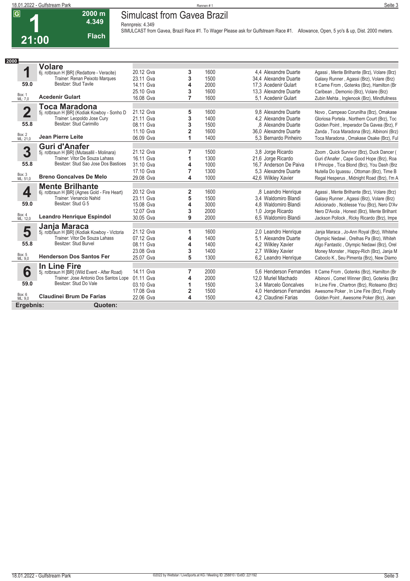## **Simulcast from Gavea Brazil**

**Rennpreis: 4.349**

**2000 m 4.349 Flach**



**SIMULCAST from Gavea, Brazil Race #1. To Wager Please ask for Gulfstream Race #1. Allowance, Open, 5 yo's & up, Dist. 2000 meters.** 

| 2000                    |                                                                          |           |                |      |                         |                                              |
|-------------------------|--------------------------------------------------------------------------|-----------|----------------|------|-------------------------|----------------------------------------------|
|                         | <b>Volare</b>                                                            |           |                |      |                         |                                              |
| 1                       | 6j. rotbraun H [BR] (Redattore - Veracite)                               | 20.12 Gva | 3              | 1600 | 4.4 Alexandre Duarte    | Agassi, Mente Brilhante (Brz), Volare (Brz)  |
|                         | Trainer: Renan Peixoto Marques                                           | 23.11 Gva | 3              | 1500 | 34,4 Alexandre Duarte   | Galaxy Runner, Agassi (Brz), Volare (Brz)    |
| 59.0                    | Besitzer: Stud Tavile                                                    | 14.11 Gva | 4              | 2000 | 17.3 Acedenir Gulart    | It Came From, Gotenks (Brz), Hamilton (Br    |
|                         |                                                                          | 25.10 Gva | 3              | 1600 | 13.3 Alexandre Duarte   | Caribean, Demonio (Brz), Volare (Brz)        |
| Box: 1<br>ML: 7,0       | <b>Acedenir Gulart</b>                                                   | 16.08 Gva | $\overline{7}$ | 1600 | 5.1 Acedenir Gulart     | Zubin Mehta, Inglenook (Brz), Mindfullness   |
|                         | <b>Toca Maradona</b>                                                     |           |                |      |                         |                                              |
| $\overline{\mathbf{2}}$ | 5j. rotbraun H [BR] (Kodiak Kowboy - Sonho D                             | 21.12 Gva | 5              | 1600 | 9.8 Alexandre Duarte    | Novo, Campeao Corunilha (Brz), Omakase       |
|                         | Trainer: Leopoldo Jose Cury                                              | 21.11 Gva | 3              | 1400 | 4.2 Alexandre Duarte    | Gloriosa Portela, Northern Court (Brz), Toc  |
| 55.8                    | Besitzer: Stud Carimillo                                                 | 08.11 Gva | 3              | 1500 | .8 Alexandre Duarte     | Golden Point, Imperador Da Gavea (Brz), F    |
|                         |                                                                          | 11.10 Gva | $\overline{2}$ | 1600 | 36,0 Alexandre Duarte   | Zanda, Toca Maradona (Brz), Albinoni (Brz)   |
| Box: 2<br>ML: 21,0      | <b>Jean Pierre Leite</b>                                                 | 06.09 Gva | 1              | 1400 | 5.3 Bernardo Pinheiro   | Toca Maradona , Omakase Osake (Brz), Ful     |
|                         | <b>Guri d'Anafer</b>                                                     |           |                |      |                         |                                              |
| 3                       | 5j. rotbraun H [BR] (Mutasallil - Molinara)                              | 21.12 Gva | 7              | 1500 | 3.8 Jorge Ricardo       | Zoom, Quick Survivor (Brz), Duck Dancer (    |
|                         | Trainer: Vitor De Souza Lahass                                           | 16.11 Gva | 1              | 1300 | 21,6 Jorge Ricardo      | Guri d'Anafer, Cape Good Hope (Brz), Roa     |
| 55.8                    | Besitzer: Stud Sao Jose Dos Bastioes                                     | 31.10 Gva | 4              | 1000 | 16.7 Anderson De Paiva  | Il Principe, Tica Blond (Brz), You Dash (Brz |
|                         |                                                                          | 17.10 Gva | 7              | 1300 | 5.3 Alexandre Duarte    | Nutella Do Iquassu, Ottoman (Brz), Time B    |
| Box: 3<br>ML: 51,0      | <b>Breno Goncalves De Melo</b>                                           | 29.08 Gva | 4              | 1000 | 42,6 Wilkley Xavier     | Regal Hesperus, Midnight Road (Brz), I'm A   |
|                         |                                                                          |           |                |      |                         |                                              |
|                         | <b>Mente Brilhante</b>                                                   | 20.12 Gva |                | 1600 |                         |                                              |
| 4                       | 6j. rotbraun H [BR] (Agnes Gold - Fire Heart)<br>Trainer: Venancio Nahid |           | 2<br>5         | 1500 | ,8 Leandro Henrique     | Agassi, Mente Brilhante (Brz), Volare (Brz)  |
| 59.0                    | Besitzer: Stud G 5                                                       | 23.11 Gva |                |      | 3.4 Waldomiro Blandi    | Galaxy Runner, Agassi (Brz), Volare (Brz)    |
|                         |                                                                          | 15.08 Gva | 4              | 3000 | 4,8 Waldomiro Blandi    | Adicionado, Noblesse You (Brz), Nero D'Av    |
| Box: 4                  | <b>Leandro Henrique Espindol</b>                                         | 12.07 Gva | 3              | 2000 | 1,0 Jorge Ricardo       | Nero D'Avola, Honest (Brz), Mente Brilhant   |
| ML: 12,0                |                                                                          | 30.05 Gva | 9              | 2000 | 6,5 Waldomiro Blandi    | Jackson Pollock, Ricky Ricardo (Brz), Impe   |
|                         | Janja Maraca                                                             |           |                |      |                         |                                              |
| 5                       | 5j. rotbraun H [BR] (Kodiak Kowboy - Victoria                            | 21.12 Gva | 1              | 1600 | 2,0 Leandro Henrique    | Janja Maraca, Jo-Ann Royal (Brz), Whitehe    |
|                         | Trainer: Vitor De Souza Lahass<br>Besitzer: Stud Burvel                  | 07.12 Gva | 4              | 1400 | 5.1 Alexandre Duarte    | Olympic Nedawi, Orelhas Pa (Brz), Whiteh     |
| 55.8                    |                                                                          | 08.11 Gva | 4              | 1400 | 4,2 Wilkley Xavier      | Algo Fantastic, Olympic Nedawi (Brz), Orel   |
|                         |                                                                          | 23.08 Gva | 3              | 1400 | 2.7 Wilkley Xavier      | Money Monster, Happy-Rich (Brz), Janja M     |
| Box: 5<br>ML: 9,0       | <b>Henderson Dos Santos Fer</b>                                          | 25.07 Gva | 5              | 1300 | 6,2 Leandro Henrique    | Caboclo K, Seu Pimenta (Brz), New Diamo      |
|                         | In Line Fire                                                             |           |                |      |                         |                                              |
| 6                       | 5j. rotbraun H [BR] (Wild Event - After Road)                            | 14.11 Gva | 7              | 2000 | 5.6 Henderson Fernandes | It Came From, Gotenks (Brz), Hamilton (Br    |
|                         | Trainer: Jose Antonio Dos Santos Lope                                    | 01.11 Gva | 4              | 2000 | 12.0 Muriel Machado     | Albinoni, Comet Winner (Brz), Gotenks (Brz   |
| 59.0                    | Besitzer: Stud Do Vale                                                   | 03.10 Gva | 1              | 1500 | 3.4 Marcelo Goncalves   | In Line Fire, Chartron (Brz), Rioteamo (Brz) |
|                         |                                                                          | 17.08 Gva | $\overline{2}$ | 1500 | 4.0 Henderson Fernandes | Awesome Poker, In Line Fire (Brz), Finally   |
| Box: 6<br>ML: 9,0       | <b>Claudinei Brum De Farias</b>                                          | 22.06 Gva | 4              | 1500 | 4,2 Claudinei Farias    | Golden Point, Awesome Poker (Brz), Jean      |
| Ergebnis:               | Quoten:                                                                  |           |                |      |                         |                                              |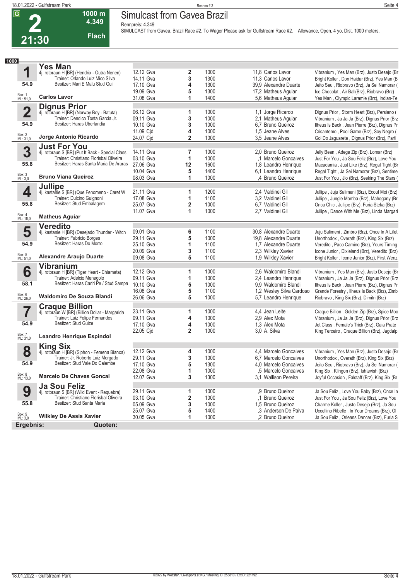**21:30**

## **Simulcast from Gavea Brazil**

**Rennpreis: 4.349**



**SIMULCAST from Gavea, Brazil Race #2. To Wager Please ask for Gulfstream Race #2. Allowance, Open, 4 yo, Dist. 1000 meters.** 

| 18.01.2022 - Gulfstream Park |                  | Rennen#:                               | Seite 4 |
|------------------------------|------------------|----------------------------------------|---------|
| $\overline{G}$               | $ 000 \rangle$ m | <b>Brazil</b><br>Simulcast from Gavea∃ |         |

| 1000                    |                                                                                            |                        |                         |              |                                              |                                                                                           |
|-------------------------|--------------------------------------------------------------------------------------------|------------------------|-------------------------|--------------|----------------------------------------------|-------------------------------------------------------------------------------------------|
|                         | <b>Yes Man</b>                                                                             |                        |                         |              |                                              |                                                                                           |
| 1                       | 4j. rotbraun H [BR] (Hendrix - Outra Nenen)                                                | 12.12 Gva              | 2                       | 1000         | 11,8 Carlos Lavor                            | Vibranium, Yes Man (Brz), Justo Desejo (Br                                                |
|                         | Trainer: Orlando Luiz Mico Silva                                                           | 14.11 Gva              | 3                       | 1300         | 11,3 Carlos Lavor                            | Bright Koller, Don Haidar (Brz), Yes Man (B                                               |
| 54.9                    | Besitzer: Mari E Malu Stud Gui                                                             | 17.10 Gva              | 4                       | 1300         | 39,9 Alexandre Duarte                        | Jeito Seu, Riobravo (Brz), Ja Sei Namorar (                                               |
|                         |                                                                                            | 19.09 Gva              | 5                       | 1300         | 17,2 Matheus Aguiar                          | Ice Chocolat, Air Ball(Brz), Riobravo (Brz)                                               |
| Box: 1<br>ML: 51,0      | <b>Carlos Lavor</b>                                                                        | 31.08 Gva              | 1                       | 1400         | 5,6 Matheus Aguiar                           | Yes Man, Olympic Laramie (Brz), Indian-Te                                                 |
|                         | <b>Dignus Prior</b>                                                                        |                        |                         |              |                                              |                                                                                           |
| $\overline{\mathbf{2}}$ | 4j. rotbraun H [BR] (Norway Boy - Batuta)                                                  | 06.12 Gva              | 1                       | 1000         | 1,1 Jorge Ricardo                            | Dignus Prior, Storm Heart (Brz), Persiano (                                               |
|                         | Trainer: Dendico Tosta Garcia Jr.                                                          | 09.11 Gva              | 3                       | 1000         | 2,1 Matheus Aguiar                           | Vibranium, Ja Ja Ja (Brz), Dignus Prior (Brz                                              |
| 54.9                    | Besitzer: Haras Uberlandia                                                                 | 10.10 Gva              | 3                       | 1000         | 6,7 Bruno Queiroz                            | Ilheus Is Back, Jean Pierre (Brz), Dignus Pr                                              |
| Box: 2<br>ML: 31,0      | Jorge Antonio Ricardo                                                                      | 11.09 Cid              | 4                       | 1000         | 1.5 Jeane Alves                              | Crisantemo, Pool Game (Brz), Soy Negro (                                                  |
|                         |                                                                                            | 24.07 Cid              | 2                       | 1000         | 3,5 Jeane Alves                              | Gol Do Jaguarete, Dignus Prior (Brz), Parti                                               |
| 3                       | <b>Just For You</b>                                                                        | 14.11 Gva              | $\overline{7}$          | 1000         | 2.0 Bruno Queiroz                            | Jelly Bean, Adega Zip (Brz), Lomar (Brz)                                                  |
|                         | 4j. rotbraun S [BR] (Put It Back - Special Class<br>Trainer: Christiano Florisbal Oliveira | 03.10 Gva              | 1                       | 1000         | .1 Marcelo Goncalves                         | Just For You, Ja Sou Feliz (Brz), Love You                                                |
| 55.8                    | Besitzer: Haras Santa Maria De Araras                                                      |                        |                         |              |                                              |                                                                                           |
|                         |                                                                                            | 27.06 Gva              | 12                      | 1600         | 1,8 Leandro Henrique                         | Macadamia, Just Like (Brz), Regal Tight (Br                                               |
| Box: 3<br>ML: 3,0       | <b>Bruno Viana Queiroz</b>                                                                 | 10.04 Gva<br>08.03 Gva | 5<br>1                  | 1400<br>1000 | 6,1 Leandro Henrique<br>,4 Bruno Queiroz     | Regal Tight, Ja Sei Namorar (Brz), Sentime                                                |
|                         |                                                                                            |                        |                         |              |                                              | Just For You, Jlo (Brz), Seeking The Stars (                                              |
| 4                       | <b>Jullipe</b><br>4j. kastanie S [BR] (Que Fenomeno - Caret W                              | 21.11 Gva              | 1                       | 1200         | 2,4 Valdinei Gil                             | Jullipe, Juju Salimeni (Brz), Ecout Moi (Brz)                                             |
|                         | Trainer: Dulcino Guignoni                                                                  | 17.08 Gva              | 1                       | 1100         | 3.2 Valdinei Gil                             | Jullipe, Jungle Mamba (Brz), Mahogany (Br                                                 |
| 55.8                    | Besitzer: Stud Embalagem                                                                   | 25.07 Gva              | $\overline{\mathbf{2}}$ | 1000         | 6.7 Valdinei Gil                             | Onca Chic, Jullipe (Brz), Furia Steka (Brz)                                               |
|                         |                                                                                            | 11.07 Gva              | 1                       | 1000         | 2,7 Valdinei Gil                             | Jullipe, Dance With Me (Brz), Linda Margari                                               |
| Box: 4<br>ML: 16,0      | <b>Matheus Aguiar</b>                                                                      |                        |                         |              |                                              |                                                                                           |
|                         | <b>Veredito</b>                                                                            |                        |                         |              |                                              |                                                                                           |
| 5                       | 4j. kastanie H [BR] (Desejado Thunder - Witch                                              | 09.01 Gva              | 6                       | 1100         | 30.8 Alexandre Duarte                        | Juju Salimeni, Zimbro (Brz), Once In A Lifet                                              |
|                         | Trainer: Fabricio Borges                                                                   | 29.11 Gva              | 5                       | 1000         | 19.8 Alexandre Duarte                        | Unorthodox, Overath (Brz), King Six (Brz)                                                 |
| 54.9                    | Besitzer: Haras Do Morro                                                                   | 25.10 Gva              | 1                       | 1100         | 1.7 Alexandre Duarte                         | Veredito, Paco Camino (Brz), Yours Timing                                                 |
|                         |                                                                                            | 20.09 Gva              | 3                       | 1100         | 2,3 Wilkley Xavier                           | Icone Junior, Dixieland (Brz), Veredito (Brz)                                             |
| Box: 5<br>ML: 51,0      | <b>Alexandre Araujo Duarte</b>                                                             | 09.08 Gva              | 5                       | 1100         | 1,9 Wilkley Xavier                           | Bright Koller, Icone Junior (Brz), First Wenz                                             |
|                         | <b>Vibranium</b>                                                                           |                        |                         |              |                                              |                                                                                           |
| 6                       | 4j. rotbraun H [BR] (Tiger Heart - Chiamata)                                               | 12.12 Gva              | 1                       | 1000         | 2,6 Waldomiro Blandi                         | Vibranium, Yes Man (Brz), Justo Desejo (Br                                                |
|                         | Trainer: Adelcio Menegolo                                                                  | 09.11 Gva              | 1                       | 1000         | 2,4 Leandro Henrique                         | Vibranium, Ja Ja Ja (Brz), Dignus Prior (Brz                                              |
| 58.1                    | Besitzer: Haras Cariri Pe / Stud Sampa                                                     | 10.10 Gva              | 5                       | 1000         | 9,9 Waldomiro Blandi                         | Ilheus Is Back, Jean Pierre (Brz), Dignus Pr                                              |
|                         |                                                                                            | 16.08 Gva              | 5                       | 1100         | 1,2 Wesley Silva Cardoso                     | Grande Forestry, Ilheus Is Back (Brz), Zimb                                               |
| Box: 6<br>ML: 26,0      | Waldomiro De Souza Blandi                                                                  | 26.06 Gva              | 5                       | 1000         | 5.7 Leandro Henrique                         | Riobravo, King Six (Brz), Dimitri (Brz)                                                   |
|                         | <b>Craque Billion</b>                                                                      |                        |                         |              |                                              |                                                                                           |
| 7                       | 4j. rotbraun W [BR] (Billion Dollar - Margarida                                            | 23.11 Gva              | 1                       | 1000         | 4,4 Jean Leite                               | Craque Billion, Golden Zip (Brz), Spice Moo                                               |
|                         | Trainer: Luiz Felipe Fernandes                                                             | 09.11 Gva              | 4                       | 1000         | 2.9 Alex Mota                                | Vibranium, Ja Ja Ja (Brz), Dignus Prior (Brz                                              |
| 54.9                    | Besitzer: Stud Guize                                                                       | 17.10 Gva              | 4                       | 1000         | 1.3 Alex Mota                                | Jet Class, Female's Trick (Brz), Gaia Prate                                               |
|                         |                                                                                            | 22.05 Cjd              | $\overline{2}$          | 1000         | 3.0 A. Silva                                 | King Terceiro, Craque Billion (Brz), Jagdalp                                              |
| Box: 7<br>ML: 31,0      | <b>Leandro Henrique Espindol</b>                                                           |                        |                         |              |                                              |                                                                                           |
|                         | <b>King Six</b>                                                                            | 12.12 Gva              |                         |              |                                              |                                                                                           |
| 8                       | 4j. rotbraun H [BR] (Siphon - Femena Bianca)<br>Trainer: Jr. Roberto Luiz Morgado          |                        | 4                       | 1000         | 4.4 Marcelo Goncalves                        | Vibranium, Yes Man (Brz), Justo Desejo (Br                                                |
| 54.9                    | Besitzer: Stud Vale Do Calembe                                                             | 29.11 Gva              | 3                       | 1000         | 6.7 Marcelo Goncalves                        | Unorthodox, Overath (Brz), King Six (Brz)                                                 |
|                         |                                                                                            | 17.10 Gva              | 5                       | 1300         | 4.0 Marcelo Goncalves                        | Jeito Seu, Riobravo (Brz), Ja Sei Namorar (                                               |
| Box: 8<br>ML: 13,0      | <b>Marcelo De Chaves Goncal</b>                                                            | 22.08 Gva<br>12.07 Gva | 1<br>3                  | 1000<br>1300 | ,5 Marcelo Goncalves<br>3.1 Wallison Pereira | King Six, Klingon (Brz), Ishtevish (Brz)<br>Joyful Occasion, Falstaff (Brz), King Six (Br |
|                         | Ja Sou Feliz                                                                               |                        |                         |              |                                              |                                                                                           |
| 9                       | 4j. rotbraun S [BR] (Wild Event - Requebra)                                                | 29.11 Gva              | 1                       | 1000         | ,9 Bruno Queiroz                             | Ja Sou Feliz, Love You Baby (Brz), Once In                                                |
|                         | Trainer: Christiano Florisbal Oliveira                                                     | 03.10 Gva              | 2                       | 1000         | ,1 Bruno Queiroz                             | Just For You, Ja Sou Feliz (Brz), Love You                                                |
| 55.8                    | Besitzer: Stud Santa Maria                                                                 | 05.09 Gva              | 3                       | 1000         | 1.5 Bruno Queiroz                            | Charme Koller, Justo Desejo (Brz), Ja Sou                                                 |
|                         |                                                                                            | 25.07 Gva              | 5                       | 1400         | .3 Anderson De Paiva                         | Uccellino Ribelle . In Your Dreams (Brz). OI                                              |
|                         |                                                                                            |                        |                         |              |                                              |                                                                                           |
| Box: 9<br>ML: 3,0       | <b>Wilkley De Assis Xavier</b>                                                             | 30.05 Gva              | 1                       | 1000         | .2 Bruno Queiroz                             | Ja Sou Feliz, Orleans Dancer (Brz), Furia S                                               |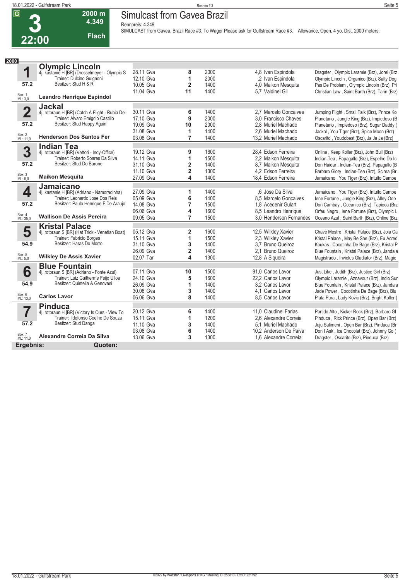**7**

**57.2**

Box: 7 ML: 11,0

**Pinduca**

4j. rotbraun H [BR] (Victory Is Ours - View To Trainer: Ildefonso Coelho De Souza

Besitzer: Stud Danga **Alexandre Correia Da Silva**

**Ergebnis: Quoten:**

**2000**

#### **Simulcast from Gavea Brazil**

**Rennpreis: 4.349**

**22:00**

**2000 m 4.349** 

**Flach**

**SIMULCAST from Gavea, Brazil Race #3. To Wager Please ask for Gulfstream Race #3. Allowance, Open, 4 yo, Dist. 2000 meters.** 

20.12 Gva **6** 1400 11,0 Claudinei Farias Partido Alto , Kicker Rock (Brz), Barbaro Gl<br>15.11 Gva 1200 2,6 Alexandre Correia Pinduca , Rick Prince (Brz), Open Bar (Brz)<br>11.10 Gva 3 1400 5,1 Muriel Machado Juju Salimeni , Ope

11.10 Gva **3** 1400 5,1 Muriel Machado Juju Salimeni , Open Bar (Brz), Pinduca (Br 03.08 Gva **6** 1400 10,2 Anderson De Paiva Don I Ask , Ice Chocolat (Brz), Johnny Go (<br>13.06 Gva **3** 1300 1.6 Alexandre Correia Dragster , Oscarito (Brz), Pinduca (Brz)

|                         | <b>Olympic Lincoln</b>                          |           |                |      |                                                                        |
|-------------------------|-------------------------------------------------|-----------|----------------|------|------------------------------------------------------------------------|
| 1                       | 4j. kastanie H [BR] (Drosselmeyer - Olympic S   | 28.11 Gva | 8              | 2000 | 4.8 Ivan Espindola<br>Dragster, Olympic Laramie (Brz), Jorel (Brz)     |
|                         | Trainer: Dulcino Guignoni                       | 12.10 Gva | 1              | 2000 | ,2 Ivan Espindola<br>Olympic Lincoln, Organico (Brz), Salty Dog        |
| 57.2                    | Besitzer: Stud H & R                            | 10.05 Gva | 2              | 1400 | 4,0 Maikon Mesquita<br>Pas De Problem, Olympic Lincoln (Brz), Pri      |
|                         |                                                 | 11.04 Gva | 11             | 1400 | 5.7 Valdinei Gil<br>Christian Law, Saint Barth (Brz), Tarin (Brz)      |
| Box: 1<br>ML: 3,0       | <b>Leandro Henrique Espindol</b>                |           |                |      |                                                                        |
|                         | <b>Jackal</b>                                   |           |                |      |                                                                        |
| $\overline{\mathbf{2}}$ | 4j. rotbraun H [BR] (Catch A Flight - Rubia Del | 30.11 Gva | 6              | 1400 | 2.7 Marcelo Goncalves<br>Jumping Flight, Small Talk (Brz), Prince Ko   |
|                         | Trainer: Alvaro Emigdio Castillo                | 17.10 Gva | 9              | 2000 | 3.0 Francisco Chaves<br>Planetario, Jungle King (Brz), Impiedoso (B    |
| 57.2                    | Besitzer: Stud Happy Again                      | 19.09 Gva | 10             | 2000 | 2,8 Muriel Machado<br>Planetario, Impiedoso (Brz), Sugar Daddy (       |
|                         |                                                 | 31.08 Gva | 1              | 1400 | 2.6 Muriel Machado<br>Jackal, You Tiger (Brz), Spice Moon (Brz)        |
| Box: 2<br>ML: 11,0      | <b>Henderson Dos Santos Fer</b>                 | 03.08 Gva | 7              | 1400 | 13.2 Muriel Machado<br>Oscarito, Youdobest (Brz), Ja Ja Ja (Brz)       |
|                         | <b>Indian Tea</b>                               |           |                |      |                                                                        |
| 3                       | 4j. rotbraun H [BR] (Vettori - Indy-Office)     | 19.12 Gva | 9              | 1600 | 28.4 Edson Ferreira<br>Online, Keep Koller (Brz), John Bull (Brz)      |
|                         | Trainer: Roberto Soares Da Silva                | 14.11 Gva | 1              | 1500 | 2,2 Maikon Mesquita<br>Indian-Tea, Papagallo (Brz), Espelho Do Ic      |
| 57.2                    | Besitzer: Stud Do Barone                        | 31.10 Gva | 2              | 1400 | 8,7 Maikon Mesquita<br>Don Haidar, Indian-Tea (Brz), Papagallo (B      |
|                         |                                                 | 11.10 Gva | $\overline{2}$ | 1300 | 4.2 Edson Ferreira<br>Barbaro Glory, Indian-Tea (Brz), Scirea (Br      |
| Box: 3<br>ML: 6,0       | <b>Maikon Mesquita</b>                          | 27.09 Gva | 4              | 1400 | 18,4 Edson Ferreira<br>Jamaicano, You Tiger (Brz), Intuito Campe       |
|                         | <b>Jamaicano</b>                                |           |                |      |                                                                        |
| 4                       | 4j. kastanie H [BR] (Adriano - Namoradinha)     | 27.09 Gva | 1              | 1400 | .6 Jose Da Silva<br>Jamaicano, You Tiger (Brz), Intuito Campe          |
|                         | Trainer: Leonardo Jose Dos Reis                 | 05.09 Gva | 6              | 1400 | 8.5 Marcelo Goncalves<br>lene Fortune, Jungle King (Brz), Alley-Oop    |
| 57.2                    | Besitzer: Paulo Henrique F.De Araujo            | 14.08 Gva | 7              | 1500 | 1.8 Acedenir Gulart<br>Don Cambay, Oceanico (Brz), Tapioca (Brz        |
|                         |                                                 | 06.06 Gva | 4              | 1600 | 8,5 Leandro Henrique<br>Orfeu Negro, Iene Fortune (Brz), Olympic L     |
| Box: 4<br>ML: 35,0      | <b>Wallison De Assis Pereira</b>                | 09.05 Gva | $\overline{7}$ | 1500 | 3.0 Henderson Fernandes<br>Oceano Azul, Saint Barth (Brz), Online (Brz |
|                         | <b>Kristal Palace</b>                           |           |                |      |                                                                        |
| 5                       | 4j. rotbraun S [BR] (Hat Trick - Venetian Boat) | 05.12 Gva | 2              | 1600 | 12,5 Wilkley Xavier<br>Chave Mestre, Kristal Palace (Brz), Joia Ca     |
|                         | Trainer: Fabricio Borges                        | 15.11 Gva | 1              | 1500 | 2,3 Wilkley Xavier<br>Kristal Palace, May Be She (Brz), Eu Acred       |
| 54.9                    | Besitzer: Haras Do Morro                        | 31.10 Gva | 3              | 1400 | 3.7 Bruno Queiroz<br>Koukas, Cocotinha De Bage (Brz), Kristal P        |
|                         |                                                 | 26.09 Gva | 2              | 1400 | 2.1 Bruno Queiroz<br>Blue Fountain, Kristal Palace (Brz), Jandaia      |
| Box: 5<br>ML: 5,0       | <b>Wilkley De Assis Xavier</b>                  | 02.07 Tar | 4              | 1300 | 12,8 A Sigueira<br>Magistrado, Invictus Gladiator (Brz), Magic         |
|                         | <b>Blue Fountain</b>                            |           |                |      |                                                                        |
| 6                       | 4j. rotbraun S [BR] (Adriano - Fonte Azul)      | 07.11 Gva | 10             | 1500 | 91,0 Carlos Lavor<br>Just Like, Judith (Brz), Justice Girl (Brz)       |
|                         | Trainer: Luiz Guilherme Feijo Ulloa             | 24.10 Gva | 5              | 1600 | 22.2 Carlos Lavor<br>Olympic Laramie, Aznavour (Brz), Indio Sur        |
| 54.9                    | Besitzer: Quintella & Genovesi                  | 26.09 Gva | 1              | 1400 | 3.2 Carlos Lavor<br>Blue Fountain, Kristal Palace (Brz), Jandaia       |
|                         |                                                 | 30.08 Gva | 3              | 1400 | 4.1 Carlos Lavor<br>Jade Power, Cocotinha De Bage (Brz), Blu           |
| Box: 6<br>ML: 13,0      | <b>Carlos Lavor</b>                             | 06.06 Gva | 8              | 1400 | 8.5 Carlos Lavor<br>Plata Pura, Lady Kovic (Brz), Bright Koller (      |

Pinduca, Rick Prince (Brz), Open Bar (Brz)

Dragster , Oscarito (Brz), Pinduca (Brz)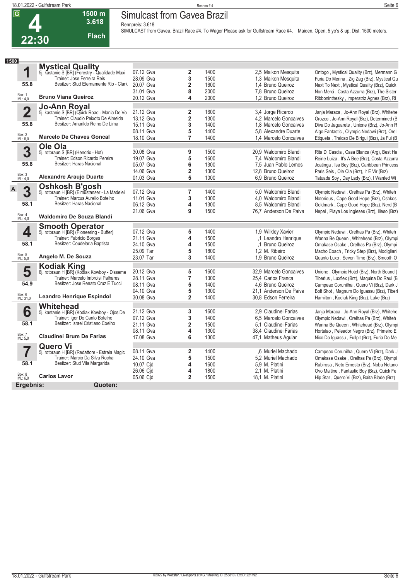# **Simulcast from Gavea Brazil**

**Rennpreis: 3.618**

**1500 m 3.618 Flach**

**4 22:30**

**SIMULCAST from Gavea, Brazil Race #4. To Wager Please ask for Gulfstream Race #4. Maiden, Open, 5 yo's & up, Dist. 1500 meters.** 

| Seite 6 |
|---------|
|         |
|         |
|         |

| 1500                    |                                                                       |           |                         |      |                        |                                               |
|-------------------------|-----------------------------------------------------------------------|-----------|-------------------------|------|------------------------|-----------------------------------------------|
|                         | <b>Mystical Quality</b>                                               |           |                         |      |                        |                                               |
| 1                       | 5j. kastanie S [BR] (Forestry - Qualidade Maxi                        | 07.12 Gva | $\overline{2}$          | 1400 | 2,5 Maikon Mesquita    | Ontogo, Mystical Quality (Brz), Mermann G     |
|                         | Trainer: Jose Ferreira Reis<br>Besitzer: Stud Eternamente Rio - Clark | 28.09 Gva | 3                       | 1500 | 1.3 Maikon Mesquita    | Furia Do Menna, Zig Zag (Brz), Mystical Qu    |
| 55.8                    |                                                                       | 20.07 Gva | $\overline{\mathbf{2}}$ | 1600 | 1.4 Bruno Queiroz      | Next To Next, Mystical Quality (Brz), Quick   |
|                         |                                                                       | 31.01 Gva | 8                       | 2000 | 7.8 Bruno Queiroz      | Non Merci, Costa Azzurra (Brz), The Sister    |
| Box: 1<br>ML: 4,0       | <b>Bruno Viana Queiroz</b>                                            | 20.12 Gva | 4                       | 2000 | 1,2 Bruno Queiroz      | Ribboninthesky, Imperatriz Agnes (Brz), Ri    |
|                         | <b>Jo-Ann Royal</b>                                                   |           |                         |      |                        |                                               |
| $\overline{\mathbf{2}}$ | 5j. kastanie S [BR] (Quick Road - Mania De Vo                         | 21.12 Gva | $\overline{2}$          | 1600 | 3,4 Jorge Ricardo      | Janja Maraca, Jo-Ann Royal (Brz), Whitehe     |
|                         | Trainer: Claudio Peixoto De Almeida                                   | 13.12 Gva | $\overline{\mathbf{2}}$ | 1300 | 4.2 Marcelo Goncalves  | Orozco, Jo-Ann Royal (Brz), Determined (B     |
| 55.8                    | Besitzer: Amarildo Reino De Lima                                      | 15.11 Gva | 3                       | 1400 | 1.8 Marcelo Goncalves  | Diva Do Jaguarete, Unione (Brz), Jo-Ann R     |
|                         |                                                                       | 08.11 Gva | 5                       | 1400 | 5.8 Alexandre Duarte   | Algo Fantastic, Olympic Nedawi (Brz), Orel    |
| Box: 2<br>ML: 6,0       | <b>Marcelo De Chaves Goncal</b>                                       | 18.10 Gva | $\overline{7}$          | 1400 | 1.4 Marcelo Goncalves  | Etiqueta, Traicao De Biriqui (Brz), Ja Fui (B |
|                         | Ole Ola                                                               |           |                         |      |                        |                                               |
| 3                       | 5j. rotbraun S [BR] (Hendrix - Hot)                                   | 30.08 Gva | 9                       | 1500 | 20,9 Waldomiro Blandi  | Rita Di Cascia, Casa Blanca (Arg), Best He    |
|                         | Trainer: Edson Ricardo Pereira                                        | 19.07 Gva | 5                       | 1600 | 7,4 Waldomiro Blandi   | Reine Luiza, It's A Bee (Brz), Costa Azzurra  |
| 55.8                    | Besitzer: Haras Nacional                                              | 05.07 Gva | 6                       | 1300 | 7.5 Juan Pablo Lemos   | Joatinga, Isa Bey (Brz), Caribbean Princess   |
|                         |                                                                       | 14.06 Gva | $\overline{\mathbf{2}}$ | 1300 | 12.8 Bruno Queiroz     | Paris Seis, Ole Ola (Brz), Ir E Vir (Brz)     |
| Box: 3<br>ML: 4,0       | <b>Alexandre Araujo Duarte</b>                                        | 01.03 Gva | 5                       | 1000 | 6.9 Bruno Queiroz      | Tatuada Soy, Day Lady (Brz), I Wanted Wi      |
|                         | <b>Oshkosh B'gosh</b>                                                 |           |                         |      |                        |                                               |
| 3<br>A                  | 5j. rotbraun H [BR] (Elmustanser - La Madelei                         | 07.12 Gva | $\overline{7}$          | 1400 | 5.0 Waldomiro Blandi   | Olympic Nedawi, Orelhas Pa (Brz), Whiteh      |
|                         | Trainer: Marcus Aurelio Botelho                                       | 11.01 Gva | 3                       | 1300 | 4.0 Waldomiro Blandi   | Notorious, Cape Good Hope (Brz), Oshkos       |
| 58.1                    | Besitzer: Haras Nacional                                              | 06.12 Gva | $\overline{\mathbf{4}}$ | 1300 | 8.5 Waldomiro Blandi   | Goldmark, Cape Good Hope (Brz), Nerd (B       |
|                         |                                                                       | 21.06 Gva | 9                       | 1500 | 76,7 Anderson De Paiva | Nepal, Playa Los Ingleses (Brz), Illeso (Brz) |
| Box: 4<br>ML: 4,0       | Waldomiro De Souza Blandi                                             |           |                         |      |                        |                                               |
|                         | <b>Smooth Operator</b>                                                |           |                         |      |                        |                                               |
| 4                       | 5j. rotbraun H [BR] (Pioneering - Buffer)                             | 07.12 Gva | 5                       | 1400 | 1,9 Wilkley Xavier     | Olympic Nedawi, Orelhas Pa (Brz), Whiteh      |
|                         | Trainer: Fabricio Borges                                              | 21.11 Gva | 4                       | 1500 | .1 Leandro Henrique    | Wanna Be Queen, Whitehead (Brz), Olympi       |
| 58.1                    | Besitzer: Coudelaria Baptista                                         | 24.10 Gva | 4                       | 1500 | .1 Bruno Queiroz       | Omakase Osake, Orelhas Pa (Brz), Olympi       |
|                         |                                                                       | 25.09 Tar | 5                       | 1800 | 1,2 M. Ribeiro         | Macho Coach, Tricky Step (Brz), Modigliani    |
| Box: 5<br>ML: 5,0       | Angelo M. De Souza                                                    | 23.07 Tar | 3                       | 1400 | 1,9 Bruno Queiroz      | Quanto Luxo, Seven Time (Brz), Smooth O       |
|                         |                                                                       |           |                         |      |                        |                                               |
| 5                       | Kodiak King<br>6j. rotbraun H [BR] (Kodiak Kowboy - Disseme           | 20.12 Gva | 5                       | 1600 | 32.9 Marcelo Goncalves | Unione, Olympic Hotel (Brz), North Bound (    |
|                         | Trainer: Marcelo Imbroisi Palhares                                    | 28.11 Gva | $\overline{7}$          | 1300 | 25,4 Carlos Franca     | Tiberius, Luxflex (Brz), Maquina Do Raul (B   |
| 54.9                    | Besitzer: Jose Renato Cruz E Tucci                                    | 08.11 Gva | 5                       | 1400 | 4.6 Bruno Queiroz      | Campeao Corunilha, Quero Vi (Brz), Dark J     |
|                         |                                                                       | 04.10 Gva | 5                       | 1300 | 21.1 Anderson De Paiva | Bolt Shot, Magnum Do Iguassu (Brz), Tiberi    |
| Box: 6<br>ML: 31,0      | <b>Leandro Henrique Espindol</b>                                      | 30.08 Gva | $\overline{2}$          | 1400 | 30.8 Edson Ferreira    | Hamilton, Kodiak King (Brz), Luke (Brz)       |
|                         | Whitehead                                                             |           |                         |      |                        |                                               |
| 6                       | 5j. kastanie H [BR] (Kodiak Kowboy - Ojos De                          | 21.12 Gva | 3                       | 1600 | 2.9 Claudinei Farias   | Janja Maraca, Jo-Ann Royal (Brz), Whitehe     |
|                         | Trainer: Igor Do Canto Botelho                                        | 07.12 Gva | 3                       | 1400 | 6.5 Marcelo Goncalves  | Olympic Nedawi, Orelhas Pa (Brz), Whiteh      |
| 58.1                    | Besitzer: Israel Cristiano Coelho                                     | 21.11 Gva | $\overline{\mathbf{2}}$ | 1500 | 5.1 Claudinei Farias   | Wanna Be Queen, Whitehead (Brz), Olympi       |
|                         |                                                                       | 08.11 Gva | 4                       | 1300 | 38.4 Claudinei Farias  | Hortelao, Peleador Negro (Brz), Primeiro E    |
| Box: 7<br>ML: 5.0       | <b>Claudinei Brum De Farias</b>                                       | 17.08 Gva | 6                       | 1300 | 47,1 Matheus Aguiar    | Nico Do Iguassu, Fullpit (Brz), Furia Do Me   |
|                         |                                                                       |           |                         |      |                        |                                               |
| $\overline{\mathbf{Z}}$ | <b>Quero Vi</b><br>5j. rotbraun H [BR] (Redattore - Estrela Magic     | 08.11 Gva | $\mathbf{2}$            | 1400 | 6 Muriel Machado       | Campeao Corunilha, Quero Vi (Brz), Dark J     |
|                         | Trainer: Marcio Da Silva Rocha                                        | 24.10 Gva | 5                       | 1500 | 5.2 Muriel Machado     | Omakase Osake, Orelhas Pa (Brz), Olympi       |
| 58.1                    | Besitzer: Stud Vila Margarida                                         | 10.07 Cid | 4                       | 1600 | 5.9 M. Platini         | Rubirosa, Neto Ernesto (Brz), Nobu Netuno     |
|                         |                                                                       | 26.06 Cid | 4                       | 1800 | 2,1 M. Platini         | Ovo Maltine, Fantastic Boy (Brz), Quick Fe    |
| Box: 8<br>ML: 6,0       | <b>Carlos Lavor</b>                                                   | 05.06 Cjd | $\overline{2}$          | 1500 | 18,1 M. Platini        | Hip Star, Quero Vi (Brz), Baita Blade (Brz)   |
|                         |                                                                       |           |                         |      |                        |                                               |
| Ergebnis:               | Quoten:                                                               |           |                         |      |                        |                                               |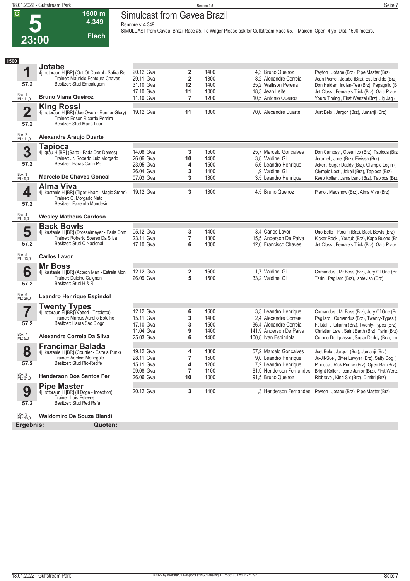**23:00**

# **Simulcast from Gavea Brazil**

**Rennpreis: 4.349**

**1500 m 4.349 Flach**

**SIMULCAST from Gavea, Brazil Race #5. To Wager Please ask for Gulfstream Race #5. Maiden, Open, 4 yo, Dist. 1500 meters.** 

| 1<br>20.12 Gva<br>2<br>1400<br>4,3 Bruno Queiroz<br>Peyton, Jotabe (Brz), Pipe Master (Brz)<br>4j. rotbraun H [BR] (Out Of Control - Safira Re<br>$\overline{\mathbf{2}}$<br>Trainer: Mauricio Fontoura Chaves<br>8.2 Alexandre Correia<br>29.11 Gva<br>1300<br>Jean Pierre, Jotabe (Brz), Esplendido (Brz)<br>Besitzer: Stud Embalagem<br>57.2<br>31.10 Gva<br>12<br>1400<br>35,2 Wallison Pereira<br>17.10 Gva<br>1000<br>11<br>18,3 Jean Leite<br>Box: 1<br>ML: 11,0<br><b>Bruno Viana Queiroz</b><br>11.10 Gva<br>$\overline{7}$<br>1200<br>10,5 Antonio Queiroz<br>Yours Timing, First Wenzel (Brz), Jig Jag (<br><b>King Rossi</b><br>$\overline{\mathbf{2}}$<br>19.12 Gva<br>1300<br>11<br>70,0 Alexandre Duarte<br>Just Belo, Jargon (Brz), Jumanji (Brz)<br>4j. rotbraun H [BR] (Joe Owen - Runner Glory)<br>Trainer: Edson Ricardo Pereira<br>Besitzer: Stud Maria Luar<br>57.2<br>Box: 2<br>ML: 11,0<br><b>Alexandre Araujo Duarte</b><br><b>Tapioca</b><br>3<br>14.08 Gva<br>3<br>1500<br>25.7 Marcelo Goncalves<br>4j. grau H [BR] (Salto - Fada Dos Dentes)<br>Don Cambay, Oceanico (Brz), Tapioca (Brz)<br>Trainer: Jr. Roberto Luiz Morgado<br>26.06 Gva<br>10<br>1400<br>3.8 Valdinei Gil<br>Jeromel, Jorel (Brz), Eivissa (Brz)<br>Besitzer: Haras Cariri Pe<br>57.2<br>23.05 Gva<br>1500<br>5,6 Leandro Henrique<br>Joker, Sugar Daddy (Brz), Olympic Login (<br>4<br>26.04 Gva<br>3<br>1400<br>,9 Valdinei Gil<br>Olympic Lost, Jokell (Brz), Tapioca (Brz)<br>Box: 3<br>ML: 9,0<br><b>Marcelo De Chaves Goncal</b><br>3<br>3,5 Leandro Henrique<br>07.03 Gva<br>1300<br>Keep Koller, Jamaicano (Brz), Tapioca (Brz<br><b>Alma Viva</b><br>4<br>1300<br>19.12 Gva<br>3<br>4,5 Bruno Queiroz<br>Pleno, Medshow (Brz), Alma Viva (Brz)<br>4j. kastanie H [BR] (Tiger Heart - Magic Storm)<br>Trainer: C. Morgado Neto<br>Besitzer: Fazenda Mondesir<br>57.2<br>Box: 4<br>ML: 5,0<br><b>Wesley Matheus Cardoso</b><br><b>Back Bowls</b><br>5<br>05.12 Gva<br>1400<br>3.4 Carlos Lavor<br>Uno Bello, Porcini (Brz), Back Bowls (Brz)<br>4j. kastanie H [BR] (Drosselmeyer - Paris Com<br>3<br>Trainer: Roberto Soares Da Silva<br>7<br>1300<br>23.11 Gva<br>15.5 Anderson De Paiva<br>Kicker Rock, Youtub (Brz), Kapo Buono (Br<br>Besitzer: Stud O Nacional<br>57.2<br>17.10 Gva<br>6<br>1000<br>12.6 Francisco Chaves<br>Jet Class, Female's Trick (Brz), Gaia Prate<br>Box: 5<br>ML: 13,0<br><b>Carlos Lavor</b><br><b>Mr Boss</b><br>6<br>12.12 Gva<br>1600<br>1,7 Valdinei Gil<br>2<br>Comandus, Mr Boss (Brz), Jury Of One (Br<br>4j. kastanie H [BR] (Acteon Man - Estrela Mon<br>Trainer: Dulcino Guignoni<br>5<br>26.09 Gva<br>1500<br>33,2 Valdinei Gil<br>Tarin, Pagliaro (Brz), Ishtevish (Brz)<br>Besitzer: Stud H & R<br>57.2<br>Box: 6<br>ML: 26,0<br><b>Leandro Henrique Espindol</b><br><b>Twenty Types</b><br>4j. rotbraun H [BR] (Vettori - Tritoletta)<br>7<br>12.12 Gva<br>6<br>1600<br>3,3 Leandro Henrique<br>Comandus, Mr Boss (Brz), Jury Of One (Br<br>Trainer: Marcus Aurelio Botelho<br>3<br>1400<br>15.11 Gva<br>2.4 Alexandre Correia<br>Pagliaro, Comandus (Brz), Twenty-Types (<br>57.2<br>Besitzer: Haras Sao Diogo<br>3<br>17.10 Gva<br>1500<br>36.4 Alexandre Correia<br>Falstaff, Italianni (Brz), Twenty-Types (Brz)<br>9<br>11.04 Gva<br>1400<br>141,9 Anderson De Paiva<br>Christian Law, Saint Barth (Brz), Tarin (Brz)<br>Box: 7<br>Alexandre Correia Da Silva<br>6<br>25.03 Gva<br>1400<br>100,8 Ivan Espindola<br>Outono Do Iguassu, Sugar Daddy (Brz), Im<br>ML: 5,0<br><b>Francimar Balada</b><br>8<br>19.12 Gva<br>1300<br>57,2 Marcelo Goncalves<br>Just Belo, Jargon (Brz), Jumanji (Brz)<br>4j. kastanie H [BR] (Courtier - Estrela Punk)<br>4<br>$\overline{7}$<br>Trainer: Adelcio Menegolo<br>28.11 Gva<br>1500<br>9,0 Leandro Henrique<br>Ju-Jit-Sue, Bitter Lawyer (Brz), Salty Dog (<br>Besitzer: Stud Rio-Recife<br>57.2<br>1200<br>15.11 Gva<br>4<br>Pinduca, Rick Prince (Brz), Open Bar (Brz)<br>7,2 Leandro Henrique<br>$\overline{\mathbf{7}}$<br>09.08 Gva<br>61,9 Henderson Fernandes Bright Koller, Icone Junior (Brz), First Wenz<br>1100<br>Box: 8<br>ML: 31,0<br><b>Henderson Dos Santos Fer</b><br>26.06 Gva<br>10<br>91,5 Bruno Queiroz<br>1000<br>Riobravo, King Six (Brz), Dimitri (Brz)<br><b>Pipe Master</b><br>9<br>20.12 Gva<br>1400<br>,3 Henderson Fernandes Peyton, Jotabe (Brz), Pipe Master (Brz)<br>3<br>4j. rotbraun H [BR] (Il Doge - Inception)<br>Trainer: Luis Esteves<br>57.2<br>Besitzer: Stud Red Rafa<br>Box: 9<br>ML: 13,0<br><b>Waldomiro De Souza Blandi</b><br>Ergebnis: | 1500 |               |  |  |                                             |
|----------------------------------------------------------------------------------------------------------------------------------------------------------------------------------------------------------------------------------------------------------------------------------------------------------------------------------------------------------------------------------------------------------------------------------------------------------------------------------------------------------------------------------------------------------------------------------------------------------------------------------------------------------------------------------------------------------------------------------------------------------------------------------------------------------------------------------------------------------------------------------------------------------------------------------------------------------------------------------------------------------------------------------------------------------------------------------------------------------------------------------------------------------------------------------------------------------------------------------------------------------------------------------------------------------------------------------------------------------------------------------------------------------------------------------------------------------------------------------------------------------------------------------------------------------------------------------------------------------------------------------------------------------------------------------------------------------------------------------------------------------------------------------------------------------------------------------------------------------------------------------------------------------------------------------------------------------------------------------------------------------------------------------------------------------------------------------------------------------------------------------------------------------------------------------------------------------------------------------------------------------------------------------------------------------------------------------------------------------------------------------------------------------------------------------------------------------------------------------------------------------------------------------------------------------------------------------------------------------------------------------------------------------------------------------------------------------------------------------------------------------------------------------------------------------------------------------------------------------------------------------------------------------------------------------------------------------------------------------------------------------------------------------------------------------------------------------------------------------------------------------------------------------------------------------------------------------------------------------------------------------------------------------------------------------------------------------------------------------------------------------------------------------------------------------------------------------------------------------------------------------------------------------------------------------------------------------------------------------------------------------------------------------------------------------------------------------------------------------------------------------------------------------------------------------------------------------------------------------------------------------------------------------------------------------------------------------------------------------------------------------------------------------------------------------------------------------------------------------------------------------------------------------------------------------------------------------------------------------------------------------------------------------------------------------------------------------------------------------------------------------------------------------------------------------------------------------------------------------------------------------------------------------------------------------------------------------------|------|---------------|--|--|---------------------------------------------|
|                                                                                                                                                                                                                                                                                                                                                                                                                                                                                                                                                                                                                                                                                                                                                                                                                                                                                                                                                                                                                                                                                                                                                                                                                                                                                                                                                                                                                                                                                                                                                                                                                                                                                                                                                                                                                                                                                                                                                                                                                                                                                                                                                                                                                                                                                                                                                                                                                                                                                                                                                                                                                                                                                                                                                                                                                                                                                                                                                                                                                                                                                                                                                                                                                                                                                                                                                                                                                                                                                                                                                                                                                                                                                                                                                                                                                                                                                                                                                                                                                                                                                                                                                                                                                                                                                                                                                                                                                                                                                                                                                                                        |      | <b>Jotabe</b> |  |  |                                             |
|                                                                                                                                                                                                                                                                                                                                                                                                                                                                                                                                                                                                                                                                                                                                                                                                                                                                                                                                                                                                                                                                                                                                                                                                                                                                                                                                                                                                                                                                                                                                                                                                                                                                                                                                                                                                                                                                                                                                                                                                                                                                                                                                                                                                                                                                                                                                                                                                                                                                                                                                                                                                                                                                                                                                                                                                                                                                                                                                                                                                                                                                                                                                                                                                                                                                                                                                                                                                                                                                                                                                                                                                                                                                                                                                                                                                                                                                                                                                                                                                                                                                                                                                                                                                                                                                                                                                                                                                                                                                                                                                                                                        |      |               |  |  |                                             |
|                                                                                                                                                                                                                                                                                                                                                                                                                                                                                                                                                                                                                                                                                                                                                                                                                                                                                                                                                                                                                                                                                                                                                                                                                                                                                                                                                                                                                                                                                                                                                                                                                                                                                                                                                                                                                                                                                                                                                                                                                                                                                                                                                                                                                                                                                                                                                                                                                                                                                                                                                                                                                                                                                                                                                                                                                                                                                                                                                                                                                                                                                                                                                                                                                                                                                                                                                                                                                                                                                                                                                                                                                                                                                                                                                                                                                                                                                                                                                                                                                                                                                                                                                                                                                                                                                                                                                                                                                                                                                                                                                                                        |      |               |  |  |                                             |
|                                                                                                                                                                                                                                                                                                                                                                                                                                                                                                                                                                                                                                                                                                                                                                                                                                                                                                                                                                                                                                                                                                                                                                                                                                                                                                                                                                                                                                                                                                                                                                                                                                                                                                                                                                                                                                                                                                                                                                                                                                                                                                                                                                                                                                                                                                                                                                                                                                                                                                                                                                                                                                                                                                                                                                                                                                                                                                                                                                                                                                                                                                                                                                                                                                                                                                                                                                                                                                                                                                                                                                                                                                                                                                                                                                                                                                                                                                                                                                                                                                                                                                                                                                                                                                                                                                                                                                                                                                                                                                                                                                                        |      |               |  |  | Don Haidar, Indian-Tea (Brz), Papagallo (B  |
|                                                                                                                                                                                                                                                                                                                                                                                                                                                                                                                                                                                                                                                                                                                                                                                                                                                                                                                                                                                                                                                                                                                                                                                                                                                                                                                                                                                                                                                                                                                                                                                                                                                                                                                                                                                                                                                                                                                                                                                                                                                                                                                                                                                                                                                                                                                                                                                                                                                                                                                                                                                                                                                                                                                                                                                                                                                                                                                                                                                                                                                                                                                                                                                                                                                                                                                                                                                                                                                                                                                                                                                                                                                                                                                                                                                                                                                                                                                                                                                                                                                                                                                                                                                                                                                                                                                                                                                                                                                                                                                                                                                        |      |               |  |  | Jet Class, Female's Trick (Brz), Gaia Prate |
|                                                                                                                                                                                                                                                                                                                                                                                                                                                                                                                                                                                                                                                                                                                                                                                                                                                                                                                                                                                                                                                                                                                                                                                                                                                                                                                                                                                                                                                                                                                                                                                                                                                                                                                                                                                                                                                                                                                                                                                                                                                                                                                                                                                                                                                                                                                                                                                                                                                                                                                                                                                                                                                                                                                                                                                                                                                                                                                                                                                                                                                                                                                                                                                                                                                                                                                                                                                                                                                                                                                                                                                                                                                                                                                                                                                                                                                                                                                                                                                                                                                                                                                                                                                                                                                                                                                                                                                                                                                                                                                                                                                        |      |               |  |  |                                             |
|                                                                                                                                                                                                                                                                                                                                                                                                                                                                                                                                                                                                                                                                                                                                                                                                                                                                                                                                                                                                                                                                                                                                                                                                                                                                                                                                                                                                                                                                                                                                                                                                                                                                                                                                                                                                                                                                                                                                                                                                                                                                                                                                                                                                                                                                                                                                                                                                                                                                                                                                                                                                                                                                                                                                                                                                                                                                                                                                                                                                                                                                                                                                                                                                                                                                                                                                                                                                                                                                                                                                                                                                                                                                                                                                                                                                                                                                                                                                                                                                                                                                                                                                                                                                                                                                                                                                                                                                                                                                                                                                                                                        |      |               |  |  |                                             |
|                                                                                                                                                                                                                                                                                                                                                                                                                                                                                                                                                                                                                                                                                                                                                                                                                                                                                                                                                                                                                                                                                                                                                                                                                                                                                                                                                                                                                                                                                                                                                                                                                                                                                                                                                                                                                                                                                                                                                                                                                                                                                                                                                                                                                                                                                                                                                                                                                                                                                                                                                                                                                                                                                                                                                                                                                                                                                                                                                                                                                                                                                                                                                                                                                                                                                                                                                                                                                                                                                                                                                                                                                                                                                                                                                                                                                                                                                                                                                                                                                                                                                                                                                                                                                                                                                                                                                                                                                                                                                                                                                                                        |      |               |  |  |                                             |
|                                                                                                                                                                                                                                                                                                                                                                                                                                                                                                                                                                                                                                                                                                                                                                                                                                                                                                                                                                                                                                                                                                                                                                                                                                                                                                                                                                                                                                                                                                                                                                                                                                                                                                                                                                                                                                                                                                                                                                                                                                                                                                                                                                                                                                                                                                                                                                                                                                                                                                                                                                                                                                                                                                                                                                                                                                                                                                                                                                                                                                                                                                                                                                                                                                                                                                                                                                                                                                                                                                                                                                                                                                                                                                                                                                                                                                                                                                                                                                                                                                                                                                                                                                                                                                                                                                                                                                                                                                                                                                                                                                                        |      |               |  |  |                                             |
|                                                                                                                                                                                                                                                                                                                                                                                                                                                                                                                                                                                                                                                                                                                                                                                                                                                                                                                                                                                                                                                                                                                                                                                                                                                                                                                                                                                                                                                                                                                                                                                                                                                                                                                                                                                                                                                                                                                                                                                                                                                                                                                                                                                                                                                                                                                                                                                                                                                                                                                                                                                                                                                                                                                                                                                                                                                                                                                                                                                                                                                                                                                                                                                                                                                                                                                                                                                                                                                                                                                                                                                                                                                                                                                                                                                                                                                                                                                                                                                                                                                                                                                                                                                                                                                                                                                                                                                                                                                                                                                                                                                        |      |               |  |  |                                             |
|                                                                                                                                                                                                                                                                                                                                                                                                                                                                                                                                                                                                                                                                                                                                                                                                                                                                                                                                                                                                                                                                                                                                                                                                                                                                                                                                                                                                                                                                                                                                                                                                                                                                                                                                                                                                                                                                                                                                                                                                                                                                                                                                                                                                                                                                                                                                                                                                                                                                                                                                                                                                                                                                                                                                                                                                                                                                                                                                                                                                                                                                                                                                                                                                                                                                                                                                                                                                                                                                                                                                                                                                                                                                                                                                                                                                                                                                                                                                                                                                                                                                                                                                                                                                                                                                                                                                                                                                                                                                                                                                                                                        |      |               |  |  |                                             |
|                                                                                                                                                                                                                                                                                                                                                                                                                                                                                                                                                                                                                                                                                                                                                                                                                                                                                                                                                                                                                                                                                                                                                                                                                                                                                                                                                                                                                                                                                                                                                                                                                                                                                                                                                                                                                                                                                                                                                                                                                                                                                                                                                                                                                                                                                                                                                                                                                                                                                                                                                                                                                                                                                                                                                                                                                                                                                                                                                                                                                                                                                                                                                                                                                                                                                                                                                                                                                                                                                                                                                                                                                                                                                                                                                                                                                                                                                                                                                                                                                                                                                                                                                                                                                                                                                                                                                                                                                                                                                                                                                                                        |      |               |  |  |                                             |
|                                                                                                                                                                                                                                                                                                                                                                                                                                                                                                                                                                                                                                                                                                                                                                                                                                                                                                                                                                                                                                                                                                                                                                                                                                                                                                                                                                                                                                                                                                                                                                                                                                                                                                                                                                                                                                                                                                                                                                                                                                                                                                                                                                                                                                                                                                                                                                                                                                                                                                                                                                                                                                                                                                                                                                                                                                                                                                                                                                                                                                                                                                                                                                                                                                                                                                                                                                                                                                                                                                                                                                                                                                                                                                                                                                                                                                                                                                                                                                                                                                                                                                                                                                                                                                                                                                                                                                                                                                                                                                                                                                                        |      |               |  |  |                                             |
|                                                                                                                                                                                                                                                                                                                                                                                                                                                                                                                                                                                                                                                                                                                                                                                                                                                                                                                                                                                                                                                                                                                                                                                                                                                                                                                                                                                                                                                                                                                                                                                                                                                                                                                                                                                                                                                                                                                                                                                                                                                                                                                                                                                                                                                                                                                                                                                                                                                                                                                                                                                                                                                                                                                                                                                                                                                                                                                                                                                                                                                                                                                                                                                                                                                                                                                                                                                                                                                                                                                                                                                                                                                                                                                                                                                                                                                                                                                                                                                                                                                                                                                                                                                                                                                                                                                                                                                                                                                                                                                                                                                        |      |               |  |  |                                             |
|                                                                                                                                                                                                                                                                                                                                                                                                                                                                                                                                                                                                                                                                                                                                                                                                                                                                                                                                                                                                                                                                                                                                                                                                                                                                                                                                                                                                                                                                                                                                                                                                                                                                                                                                                                                                                                                                                                                                                                                                                                                                                                                                                                                                                                                                                                                                                                                                                                                                                                                                                                                                                                                                                                                                                                                                                                                                                                                                                                                                                                                                                                                                                                                                                                                                                                                                                                                                                                                                                                                                                                                                                                                                                                                                                                                                                                                                                                                                                                                                                                                                                                                                                                                                                                                                                                                                                                                                                                                                                                                                                                                        |      |               |  |  |                                             |
|                                                                                                                                                                                                                                                                                                                                                                                                                                                                                                                                                                                                                                                                                                                                                                                                                                                                                                                                                                                                                                                                                                                                                                                                                                                                                                                                                                                                                                                                                                                                                                                                                                                                                                                                                                                                                                                                                                                                                                                                                                                                                                                                                                                                                                                                                                                                                                                                                                                                                                                                                                                                                                                                                                                                                                                                                                                                                                                                                                                                                                                                                                                                                                                                                                                                                                                                                                                                                                                                                                                                                                                                                                                                                                                                                                                                                                                                                                                                                                                                                                                                                                                                                                                                                                                                                                                                                                                                                                                                                                                                                                                        |      |               |  |  |                                             |
|                                                                                                                                                                                                                                                                                                                                                                                                                                                                                                                                                                                                                                                                                                                                                                                                                                                                                                                                                                                                                                                                                                                                                                                                                                                                                                                                                                                                                                                                                                                                                                                                                                                                                                                                                                                                                                                                                                                                                                                                                                                                                                                                                                                                                                                                                                                                                                                                                                                                                                                                                                                                                                                                                                                                                                                                                                                                                                                                                                                                                                                                                                                                                                                                                                                                                                                                                                                                                                                                                                                                                                                                                                                                                                                                                                                                                                                                                                                                                                                                                                                                                                                                                                                                                                                                                                                                                                                                                                                                                                                                                                                        |      |               |  |  |                                             |
|                                                                                                                                                                                                                                                                                                                                                                                                                                                                                                                                                                                                                                                                                                                                                                                                                                                                                                                                                                                                                                                                                                                                                                                                                                                                                                                                                                                                                                                                                                                                                                                                                                                                                                                                                                                                                                                                                                                                                                                                                                                                                                                                                                                                                                                                                                                                                                                                                                                                                                                                                                                                                                                                                                                                                                                                                                                                                                                                                                                                                                                                                                                                                                                                                                                                                                                                                                                                                                                                                                                                                                                                                                                                                                                                                                                                                                                                                                                                                                                                                                                                                                                                                                                                                                                                                                                                                                                                                                                                                                                                                                                        |      |               |  |  |                                             |
|                                                                                                                                                                                                                                                                                                                                                                                                                                                                                                                                                                                                                                                                                                                                                                                                                                                                                                                                                                                                                                                                                                                                                                                                                                                                                                                                                                                                                                                                                                                                                                                                                                                                                                                                                                                                                                                                                                                                                                                                                                                                                                                                                                                                                                                                                                                                                                                                                                                                                                                                                                                                                                                                                                                                                                                                                                                                                                                                                                                                                                                                                                                                                                                                                                                                                                                                                                                                                                                                                                                                                                                                                                                                                                                                                                                                                                                                                                                                                                                                                                                                                                                                                                                                                                                                                                                                                                                                                                                                                                                                                                                        |      |               |  |  |                                             |
|                                                                                                                                                                                                                                                                                                                                                                                                                                                                                                                                                                                                                                                                                                                                                                                                                                                                                                                                                                                                                                                                                                                                                                                                                                                                                                                                                                                                                                                                                                                                                                                                                                                                                                                                                                                                                                                                                                                                                                                                                                                                                                                                                                                                                                                                                                                                                                                                                                                                                                                                                                                                                                                                                                                                                                                                                                                                                                                                                                                                                                                                                                                                                                                                                                                                                                                                                                                                                                                                                                                                                                                                                                                                                                                                                                                                                                                                                                                                                                                                                                                                                                                                                                                                                                                                                                                                                                                                                                                                                                                                                                                        |      |               |  |  |                                             |
|                                                                                                                                                                                                                                                                                                                                                                                                                                                                                                                                                                                                                                                                                                                                                                                                                                                                                                                                                                                                                                                                                                                                                                                                                                                                                                                                                                                                                                                                                                                                                                                                                                                                                                                                                                                                                                                                                                                                                                                                                                                                                                                                                                                                                                                                                                                                                                                                                                                                                                                                                                                                                                                                                                                                                                                                                                                                                                                                                                                                                                                                                                                                                                                                                                                                                                                                                                                                                                                                                                                                                                                                                                                                                                                                                                                                                                                                                                                                                                                                                                                                                                                                                                                                                                                                                                                                                                                                                                                                                                                                                                                        |      |               |  |  |                                             |
|                                                                                                                                                                                                                                                                                                                                                                                                                                                                                                                                                                                                                                                                                                                                                                                                                                                                                                                                                                                                                                                                                                                                                                                                                                                                                                                                                                                                                                                                                                                                                                                                                                                                                                                                                                                                                                                                                                                                                                                                                                                                                                                                                                                                                                                                                                                                                                                                                                                                                                                                                                                                                                                                                                                                                                                                                                                                                                                                                                                                                                                                                                                                                                                                                                                                                                                                                                                                                                                                                                                                                                                                                                                                                                                                                                                                                                                                                                                                                                                                                                                                                                                                                                                                                                                                                                                                                                                                                                                                                                                                                                                        |      |               |  |  |                                             |
|                                                                                                                                                                                                                                                                                                                                                                                                                                                                                                                                                                                                                                                                                                                                                                                                                                                                                                                                                                                                                                                                                                                                                                                                                                                                                                                                                                                                                                                                                                                                                                                                                                                                                                                                                                                                                                                                                                                                                                                                                                                                                                                                                                                                                                                                                                                                                                                                                                                                                                                                                                                                                                                                                                                                                                                                                                                                                                                                                                                                                                                                                                                                                                                                                                                                                                                                                                                                                                                                                                                                                                                                                                                                                                                                                                                                                                                                                                                                                                                                                                                                                                                                                                                                                                                                                                                                                                                                                                                                                                                                                                                        |      |               |  |  |                                             |
|                                                                                                                                                                                                                                                                                                                                                                                                                                                                                                                                                                                                                                                                                                                                                                                                                                                                                                                                                                                                                                                                                                                                                                                                                                                                                                                                                                                                                                                                                                                                                                                                                                                                                                                                                                                                                                                                                                                                                                                                                                                                                                                                                                                                                                                                                                                                                                                                                                                                                                                                                                                                                                                                                                                                                                                                                                                                                                                                                                                                                                                                                                                                                                                                                                                                                                                                                                                                                                                                                                                                                                                                                                                                                                                                                                                                                                                                                                                                                                                                                                                                                                                                                                                                                                                                                                                                                                                                                                                                                                                                                                                        |      |               |  |  |                                             |
|                                                                                                                                                                                                                                                                                                                                                                                                                                                                                                                                                                                                                                                                                                                                                                                                                                                                                                                                                                                                                                                                                                                                                                                                                                                                                                                                                                                                                                                                                                                                                                                                                                                                                                                                                                                                                                                                                                                                                                                                                                                                                                                                                                                                                                                                                                                                                                                                                                                                                                                                                                                                                                                                                                                                                                                                                                                                                                                                                                                                                                                                                                                                                                                                                                                                                                                                                                                                                                                                                                                                                                                                                                                                                                                                                                                                                                                                                                                                                                                                                                                                                                                                                                                                                                                                                                                                                                                                                                                                                                                                                                                        |      |               |  |  |                                             |
|                                                                                                                                                                                                                                                                                                                                                                                                                                                                                                                                                                                                                                                                                                                                                                                                                                                                                                                                                                                                                                                                                                                                                                                                                                                                                                                                                                                                                                                                                                                                                                                                                                                                                                                                                                                                                                                                                                                                                                                                                                                                                                                                                                                                                                                                                                                                                                                                                                                                                                                                                                                                                                                                                                                                                                                                                                                                                                                                                                                                                                                                                                                                                                                                                                                                                                                                                                                                                                                                                                                                                                                                                                                                                                                                                                                                                                                                                                                                                                                                                                                                                                                                                                                                                                                                                                                                                                                                                                                                                                                                                                                        |      |               |  |  |                                             |
|                                                                                                                                                                                                                                                                                                                                                                                                                                                                                                                                                                                                                                                                                                                                                                                                                                                                                                                                                                                                                                                                                                                                                                                                                                                                                                                                                                                                                                                                                                                                                                                                                                                                                                                                                                                                                                                                                                                                                                                                                                                                                                                                                                                                                                                                                                                                                                                                                                                                                                                                                                                                                                                                                                                                                                                                                                                                                                                                                                                                                                                                                                                                                                                                                                                                                                                                                                                                                                                                                                                                                                                                                                                                                                                                                                                                                                                                                                                                                                                                                                                                                                                                                                                                                                                                                                                                                                                                                                                                                                                                                                                        |      |               |  |  |                                             |
|                                                                                                                                                                                                                                                                                                                                                                                                                                                                                                                                                                                                                                                                                                                                                                                                                                                                                                                                                                                                                                                                                                                                                                                                                                                                                                                                                                                                                                                                                                                                                                                                                                                                                                                                                                                                                                                                                                                                                                                                                                                                                                                                                                                                                                                                                                                                                                                                                                                                                                                                                                                                                                                                                                                                                                                                                                                                                                                                                                                                                                                                                                                                                                                                                                                                                                                                                                                                                                                                                                                                                                                                                                                                                                                                                                                                                                                                                                                                                                                                                                                                                                                                                                                                                                                                                                                                                                                                                                                                                                                                                                                        |      |               |  |  |                                             |
|                                                                                                                                                                                                                                                                                                                                                                                                                                                                                                                                                                                                                                                                                                                                                                                                                                                                                                                                                                                                                                                                                                                                                                                                                                                                                                                                                                                                                                                                                                                                                                                                                                                                                                                                                                                                                                                                                                                                                                                                                                                                                                                                                                                                                                                                                                                                                                                                                                                                                                                                                                                                                                                                                                                                                                                                                                                                                                                                                                                                                                                                                                                                                                                                                                                                                                                                                                                                                                                                                                                                                                                                                                                                                                                                                                                                                                                                                                                                                                                                                                                                                                                                                                                                                                                                                                                                                                                                                                                                                                                                                                                        |      |               |  |  |                                             |
|                                                                                                                                                                                                                                                                                                                                                                                                                                                                                                                                                                                                                                                                                                                                                                                                                                                                                                                                                                                                                                                                                                                                                                                                                                                                                                                                                                                                                                                                                                                                                                                                                                                                                                                                                                                                                                                                                                                                                                                                                                                                                                                                                                                                                                                                                                                                                                                                                                                                                                                                                                                                                                                                                                                                                                                                                                                                                                                                                                                                                                                                                                                                                                                                                                                                                                                                                                                                                                                                                                                                                                                                                                                                                                                                                                                                                                                                                                                                                                                                                                                                                                                                                                                                                                                                                                                                                                                                                                                                                                                                                                                        |      |               |  |  |                                             |
|                                                                                                                                                                                                                                                                                                                                                                                                                                                                                                                                                                                                                                                                                                                                                                                                                                                                                                                                                                                                                                                                                                                                                                                                                                                                                                                                                                                                                                                                                                                                                                                                                                                                                                                                                                                                                                                                                                                                                                                                                                                                                                                                                                                                                                                                                                                                                                                                                                                                                                                                                                                                                                                                                                                                                                                                                                                                                                                                                                                                                                                                                                                                                                                                                                                                                                                                                                                                                                                                                                                                                                                                                                                                                                                                                                                                                                                                                                                                                                                                                                                                                                                                                                                                                                                                                                                                                                                                                                                                                                                                                                                        |      |               |  |  |                                             |
|                                                                                                                                                                                                                                                                                                                                                                                                                                                                                                                                                                                                                                                                                                                                                                                                                                                                                                                                                                                                                                                                                                                                                                                                                                                                                                                                                                                                                                                                                                                                                                                                                                                                                                                                                                                                                                                                                                                                                                                                                                                                                                                                                                                                                                                                                                                                                                                                                                                                                                                                                                                                                                                                                                                                                                                                                                                                                                                                                                                                                                                                                                                                                                                                                                                                                                                                                                                                                                                                                                                                                                                                                                                                                                                                                                                                                                                                                                                                                                                                                                                                                                                                                                                                                                                                                                                                                                                                                                                                                                                                                                                        |      |               |  |  |                                             |
|                                                                                                                                                                                                                                                                                                                                                                                                                                                                                                                                                                                                                                                                                                                                                                                                                                                                                                                                                                                                                                                                                                                                                                                                                                                                                                                                                                                                                                                                                                                                                                                                                                                                                                                                                                                                                                                                                                                                                                                                                                                                                                                                                                                                                                                                                                                                                                                                                                                                                                                                                                                                                                                                                                                                                                                                                                                                                                                                                                                                                                                                                                                                                                                                                                                                                                                                                                                                                                                                                                                                                                                                                                                                                                                                                                                                                                                                                                                                                                                                                                                                                                                                                                                                                                                                                                                                                                                                                                                                                                                                                                                        |      |               |  |  |                                             |
|                                                                                                                                                                                                                                                                                                                                                                                                                                                                                                                                                                                                                                                                                                                                                                                                                                                                                                                                                                                                                                                                                                                                                                                                                                                                                                                                                                                                                                                                                                                                                                                                                                                                                                                                                                                                                                                                                                                                                                                                                                                                                                                                                                                                                                                                                                                                                                                                                                                                                                                                                                                                                                                                                                                                                                                                                                                                                                                                                                                                                                                                                                                                                                                                                                                                                                                                                                                                                                                                                                                                                                                                                                                                                                                                                                                                                                                                                                                                                                                                                                                                                                                                                                                                                                                                                                                                                                                                                                                                                                                                                                                        |      |               |  |  |                                             |
|                                                                                                                                                                                                                                                                                                                                                                                                                                                                                                                                                                                                                                                                                                                                                                                                                                                                                                                                                                                                                                                                                                                                                                                                                                                                                                                                                                                                                                                                                                                                                                                                                                                                                                                                                                                                                                                                                                                                                                                                                                                                                                                                                                                                                                                                                                                                                                                                                                                                                                                                                                                                                                                                                                                                                                                                                                                                                                                                                                                                                                                                                                                                                                                                                                                                                                                                                                                                                                                                                                                                                                                                                                                                                                                                                                                                                                                                                                                                                                                                                                                                                                                                                                                                                                                                                                                                                                                                                                                                                                                                                                                        |      |               |  |  |                                             |
|                                                                                                                                                                                                                                                                                                                                                                                                                                                                                                                                                                                                                                                                                                                                                                                                                                                                                                                                                                                                                                                                                                                                                                                                                                                                                                                                                                                                                                                                                                                                                                                                                                                                                                                                                                                                                                                                                                                                                                                                                                                                                                                                                                                                                                                                                                                                                                                                                                                                                                                                                                                                                                                                                                                                                                                                                                                                                                                                                                                                                                                                                                                                                                                                                                                                                                                                                                                                                                                                                                                                                                                                                                                                                                                                                                                                                                                                                                                                                                                                                                                                                                                                                                                                                                                                                                                                                                                                                                                                                                                                                                                        |      |               |  |  |                                             |
|                                                                                                                                                                                                                                                                                                                                                                                                                                                                                                                                                                                                                                                                                                                                                                                                                                                                                                                                                                                                                                                                                                                                                                                                                                                                                                                                                                                                                                                                                                                                                                                                                                                                                                                                                                                                                                                                                                                                                                                                                                                                                                                                                                                                                                                                                                                                                                                                                                                                                                                                                                                                                                                                                                                                                                                                                                                                                                                                                                                                                                                                                                                                                                                                                                                                                                                                                                                                                                                                                                                                                                                                                                                                                                                                                                                                                                                                                                                                                                                                                                                                                                                                                                                                                                                                                                                                                                                                                                                                                                                                                                                        |      |               |  |  |                                             |
|                                                                                                                                                                                                                                                                                                                                                                                                                                                                                                                                                                                                                                                                                                                                                                                                                                                                                                                                                                                                                                                                                                                                                                                                                                                                                                                                                                                                                                                                                                                                                                                                                                                                                                                                                                                                                                                                                                                                                                                                                                                                                                                                                                                                                                                                                                                                                                                                                                                                                                                                                                                                                                                                                                                                                                                                                                                                                                                                                                                                                                                                                                                                                                                                                                                                                                                                                                                                                                                                                                                                                                                                                                                                                                                                                                                                                                                                                                                                                                                                                                                                                                                                                                                                                                                                                                                                                                                                                                                                                                                                                                                        |      |               |  |  |                                             |
|                                                                                                                                                                                                                                                                                                                                                                                                                                                                                                                                                                                                                                                                                                                                                                                                                                                                                                                                                                                                                                                                                                                                                                                                                                                                                                                                                                                                                                                                                                                                                                                                                                                                                                                                                                                                                                                                                                                                                                                                                                                                                                                                                                                                                                                                                                                                                                                                                                                                                                                                                                                                                                                                                                                                                                                                                                                                                                                                                                                                                                                                                                                                                                                                                                                                                                                                                                                                                                                                                                                                                                                                                                                                                                                                                                                                                                                                                                                                                                                                                                                                                                                                                                                                                                                                                                                                                                                                                                                                                                                                                                                        |      |               |  |  |                                             |
|                                                                                                                                                                                                                                                                                                                                                                                                                                                                                                                                                                                                                                                                                                                                                                                                                                                                                                                                                                                                                                                                                                                                                                                                                                                                                                                                                                                                                                                                                                                                                                                                                                                                                                                                                                                                                                                                                                                                                                                                                                                                                                                                                                                                                                                                                                                                                                                                                                                                                                                                                                                                                                                                                                                                                                                                                                                                                                                                                                                                                                                                                                                                                                                                                                                                                                                                                                                                                                                                                                                                                                                                                                                                                                                                                                                                                                                                                                                                                                                                                                                                                                                                                                                                                                                                                                                                                                                                                                                                                                                                                                                        |      |               |  |  |                                             |
|                                                                                                                                                                                                                                                                                                                                                                                                                                                                                                                                                                                                                                                                                                                                                                                                                                                                                                                                                                                                                                                                                                                                                                                                                                                                                                                                                                                                                                                                                                                                                                                                                                                                                                                                                                                                                                                                                                                                                                                                                                                                                                                                                                                                                                                                                                                                                                                                                                                                                                                                                                                                                                                                                                                                                                                                                                                                                                                                                                                                                                                                                                                                                                                                                                                                                                                                                                                                                                                                                                                                                                                                                                                                                                                                                                                                                                                                                                                                                                                                                                                                                                                                                                                                                                                                                                                                                                                                                                                                                                                                                                                        |      |               |  |  |                                             |
|                                                                                                                                                                                                                                                                                                                                                                                                                                                                                                                                                                                                                                                                                                                                                                                                                                                                                                                                                                                                                                                                                                                                                                                                                                                                                                                                                                                                                                                                                                                                                                                                                                                                                                                                                                                                                                                                                                                                                                                                                                                                                                                                                                                                                                                                                                                                                                                                                                                                                                                                                                                                                                                                                                                                                                                                                                                                                                                                                                                                                                                                                                                                                                                                                                                                                                                                                                                                                                                                                                                                                                                                                                                                                                                                                                                                                                                                                                                                                                                                                                                                                                                                                                                                                                                                                                                                                                                                                                                                                                                                                                                        |      |               |  |  |                                             |
|                                                                                                                                                                                                                                                                                                                                                                                                                                                                                                                                                                                                                                                                                                                                                                                                                                                                                                                                                                                                                                                                                                                                                                                                                                                                                                                                                                                                                                                                                                                                                                                                                                                                                                                                                                                                                                                                                                                                                                                                                                                                                                                                                                                                                                                                                                                                                                                                                                                                                                                                                                                                                                                                                                                                                                                                                                                                                                                                                                                                                                                                                                                                                                                                                                                                                                                                                                                                                                                                                                                                                                                                                                                                                                                                                                                                                                                                                                                                                                                                                                                                                                                                                                                                                                                                                                                                                                                                                                                                                                                                                                                        |      |               |  |  |                                             |
|                                                                                                                                                                                                                                                                                                                                                                                                                                                                                                                                                                                                                                                                                                                                                                                                                                                                                                                                                                                                                                                                                                                                                                                                                                                                                                                                                                                                                                                                                                                                                                                                                                                                                                                                                                                                                                                                                                                                                                                                                                                                                                                                                                                                                                                                                                                                                                                                                                                                                                                                                                                                                                                                                                                                                                                                                                                                                                                                                                                                                                                                                                                                                                                                                                                                                                                                                                                                                                                                                                                                                                                                                                                                                                                                                                                                                                                                                                                                                                                                                                                                                                                                                                                                                                                                                                                                                                                                                                                                                                                                                                                        |      |               |  |  |                                             |
|                                                                                                                                                                                                                                                                                                                                                                                                                                                                                                                                                                                                                                                                                                                                                                                                                                                                                                                                                                                                                                                                                                                                                                                                                                                                                                                                                                                                                                                                                                                                                                                                                                                                                                                                                                                                                                                                                                                                                                                                                                                                                                                                                                                                                                                                                                                                                                                                                                                                                                                                                                                                                                                                                                                                                                                                                                                                                                                                                                                                                                                                                                                                                                                                                                                                                                                                                                                                                                                                                                                                                                                                                                                                                                                                                                                                                                                                                                                                                                                                                                                                                                                                                                                                                                                                                                                                                                                                                                                                                                                                                                                        |      |               |  |  |                                             |
|                                                                                                                                                                                                                                                                                                                                                                                                                                                                                                                                                                                                                                                                                                                                                                                                                                                                                                                                                                                                                                                                                                                                                                                                                                                                                                                                                                                                                                                                                                                                                                                                                                                                                                                                                                                                                                                                                                                                                                                                                                                                                                                                                                                                                                                                                                                                                                                                                                                                                                                                                                                                                                                                                                                                                                                                                                                                                                                                                                                                                                                                                                                                                                                                                                                                                                                                                                                                                                                                                                                                                                                                                                                                                                                                                                                                                                                                                                                                                                                                                                                                                                                                                                                                                                                                                                                                                                                                                                                                                                                                                                                        |      |               |  |  |                                             |
|                                                                                                                                                                                                                                                                                                                                                                                                                                                                                                                                                                                                                                                                                                                                                                                                                                                                                                                                                                                                                                                                                                                                                                                                                                                                                                                                                                                                                                                                                                                                                                                                                                                                                                                                                                                                                                                                                                                                                                                                                                                                                                                                                                                                                                                                                                                                                                                                                                                                                                                                                                                                                                                                                                                                                                                                                                                                                                                                                                                                                                                                                                                                                                                                                                                                                                                                                                                                                                                                                                                                                                                                                                                                                                                                                                                                                                                                                                                                                                                                                                                                                                                                                                                                                                                                                                                                                                                                                                                                                                                                                                                        |      |               |  |  |                                             |
|                                                                                                                                                                                                                                                                                                                                                                                                                                                                                                                                                                                                                                                                                                                                                                                                                                                                                                                                                                                                                                                                                                                                                                                                                                                                                                                                                                                                                                                                                                                                                                                                                                                                                                                                                                                                                                                                                                                                                                                                                                                                                                                                                                                                                                                                                                                                                                                                                                                                                                                                                                                                                                                                                                                                                                                                                                                                                                                                                                                                                                                                                                                                                                                                                                                                                                                                                                                                                                                                                                                                                                                                                                                                                                                                                                                                                                                                                                                                                                                                                                                                                                                                                                                                                                                                                                                                                                                                                                                                                                                                                                                        |      |               |  |  |                                             |
|                                                                                                                                                                                                                                                                                                                                                                                                                                                                                                                                                                                                                                                                                                                                                                                                                                                                                                                                                                                                                                                                                                                                                                                                                                                                                                                                                                                                                                                                                                                                                                                                                                                                                                                                                                                                                                                                                                                                                                                                                                                                                                                                                                                                                                                                                                                                                                                                                                                                                                                                                                                                                                                                                                                                                                                                                                                                                                                                                                                                                                                                                                                                                                                                                                                                                                                                                                                                                                                                                                                                                                                                                                                                                                                                                                                                                                                                                                                                                                                                                                                                                                                                                                                                                                                                                                                                                                                                                                                                                                                                                                                        |      |               |  |  |                                             |
|                                                                                                                                                                                                                                                                                                                                                                                                                                                                                                                                                                                                                                                                                                                                                                                                                                                                                                                                                                                                                                                                                                                                                                                                                                                                                                                                                                                                                                                                                                                                                                                                                                                                                                                                                                                                                                                                                                                                                                                                                                                                                                                                                                                                                                                                                                                                                                                                                                                                                                                                                                                                                                                                                                                                                                                                                                                                                                                                                                                                                                                                                                                                                                                                                                                                                                                                                                                                                                                                                                                                                                                                                                                                                                                                                                                                                                                                                                                                                                                                                                                                                                                                                                                                                                                                                                                                                                                                                                                                                                                                                                                        |      |               |  |  |                                             |
|                                                                                                                                                                                                                                                                                                                                                                                                                                                                                                                                                                                                                                                                                                                                                                                                                                                                                                                                                                                                                                                                                                                                                                                                                                                                                                                                                                                                                                                                                                                                                                                                                                                                                                                                                                                                                                                                                                                                                                                                                                                                                                                                                                                                                                                                                                                                                                                                                                                                                                                                                                                                                                                                                                                                                                                                                                                                                                                                                                                                                                                                                                                                                                                                                                                                                                                                                                                                                                                                                                                                                                                                                                                                                                                                                                                                                                                                                                                                                                                                                                                                                                                                                                                                                                                                                                                                                                                                                                                                                                                                                                                        |      |               |  |  |                                             |
|                                                                                                                                                                                                                                                                                                                                                                                                                                                                                                                                                                                                                                                                                                                                                                                                                                                                                                                                                                                                                                                                                                                                                                                                                                                                                                                                                                                                                                                                                                                                                                                                                                                                                                                                                                                                                                                                                                                                                                                                                                                                                                                                                                                                                                                                                                                                                                                                                                                                                                                                                                                                                                                                                                                                                                                                                                                                                                                                                                                                                                                                                                                                                                                                                                                                                                                                                                                                                                                                                                                                                                                                                                                                                                                                                                                                                                                                                                                                                                                                                                                                                                                                                                                                                                                                                                                                                                                                                                                                                                                                                                                        |      |               |  |  |                                             |
|                                                                                                                                                                                                                                                                                                                                                                                                                                                                                                                                                                                                                                                                                                                                                                                                                                                                                                                                                                                                                                                                                                                                                                                                                                                                                                                                                                                                                                                                                                                                                                                                                                                                                                                                                                                                                                                                                                                                                                                                                                                                                                                                                                                                                                                                                                                                                                                                                                                                                                                                                                                                                                                                                                                                                                                                                                                                                                                                                                                                                                                                                                                                                                                                                                                                                                                                                                                                                                                                                                                                                                                                                                                                                                                                                                                                                                                                                                                                                                                                                                                                                                                                                                                                                                                                                                                                                                                                                                                                                                                                                                                        |      |               |  |  |                                             |
|                                                                                                                                                                                                                                                                                                                                                                                                                                                                                                                                                                                                                                                                                                                                                                                                                                                                                                                                                                                                                                                                                                                                                                                                                                                                                                                                                                                                                                                                                                                                                                                                                                                                                                                                                                                                                                                                                                                                                                                                                                                                                                                                                                                                                                                                                                                                                                                                                                                                                                                                                                                                                                                                                                                                                                                                                                                                                                                                                                                                                                                                                                                                                                                                                                                                                                                                                                                                                                                                                                                                                                                                                                                                                                                                                                                                                                                                                                                                                                                                                                                                                                                                                                                                                                                                                                                                                                                                                                                                                                                                                                                        |      |               |  |  |                                             |
|                                                                                                                                                                                                                                                                                                                                                                                                                                                                                                                                                                                                                                                                                                                                                                                                                                                                                                                                                                                                                                                                                                                                                                                                                                                                                                                                                                                                                                                                                                                                                                                                                                                                                                                                                                                                                                                                                                                                                                                                                                                                                                                                                                                                                                                                                                                                                                                                                                                                                                                                                                                                                                                                                                                                                                                                                                                                                                                                                                                                                                                                                                                                                                                                                                                                                                                                                                                                                                                                                                                                                                                                                                                                                                                                                                                                                                                                                                                                                                                                                                                                                                                                                                                                                                                                                                                                                                                                                                                                                                                                                                                        |      |               |  |  |                                             |
|                                                                                                                                                                                                                                                                                                                                                                                                                                                                                                                                                                                                                                                                                                                                                                                                                                                                                                                                                                                                                                                                                                                                                                                                                                                                                                                                                                                                                                                                                                                                                                                                                                                                                                                                                                                                                                                                                                                                                                                                                                                                                                                                                                                                                                                                                                                                                                                                                                                                                                                                                                                                                                                                                                                                                                                                                                                                                                                                                                                                                                                                                                                                                                                                                                                                                                                                                                                                                                                                                                                                                                                                                                                                                                                                                                                                                                                                                                                                                                                                                                                                                                                                                                                                                                                                                                                                                                                                                                                                                                                                                                                        |      |               |  |  |                                             |
|                                                                                                                                                                                                                                                                                                                                                                                                                                                                                                                                                                                                                                                                                                                                                                                                                                                                                                                                                                                                                                                                                                                                                                                                                                                                                                                                                                                                                                                                                                                                                                                                                                                                                                                                                                                                                                                                                                                                                                                                                                                                                                                                                                                                                                                                                                                                                                                                                                                                                                                                                                                                                                                                                                                                                                                                                                                                                                                                                                                                                                                                                                                                                                                                                                                                                                                                                                                                                                                                                                                                                                                                                                                                                                                                                                                                                                                                                                                                                                                                                                                                                                                                                                                                                                                                                                                                                                                                                                                                                                                                                                                        |      | Quoten:       |  |  |                                             |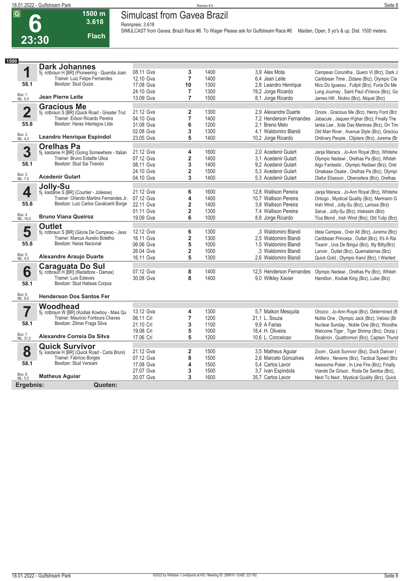### **Simulcast from Gavea Brazil**

**Rennpreis: 3.618**

**23:30 3.618 Flach**

**1500 m**

| SIMULCAST from Gavea, Brazil Race #6. To Wager Please ask for Gulfstream Race #6. Maiden, Open, 5 yo's & up, Dist. 1500 meters. |  |
|---------------------------------------------------------------------------------------------------------------------------------|--|
|---------------------------------------------------------------------------------------------------------------------------------|--|

| 1500                    |                                                                                     |                        |                         |      |                          |                                                |
|-------------------------|-------------------------------------------------------------------------------------|------------------------|-------------------------|------|--------------------------|------------------------------------------------|
|                         | <b>Dark Johannes</b>                                                                |                        |                         |      |                          |                                                |
| 1                       | 5j. rotbraun H [BR] (Pioneering - Querida Joan                                      | 08.11 Gva              | 3                       | 1400 | 3.9 Alex Mota            | Campeao Corunilha, Quero Vi (Brz), Dark J      |
|                         | Trainer: Luiz Felipe Fernandes                                                      | 12.10 Gva              | $\overline{7}$          | 1400 | 6.4 Jean Leite           | Caribbean Time, Zidane (Brz), Olympic Cla      |
| 58.1                    | Besitzer: Stud Guize                                                                | 17.08 Gva              | 10                      | 1300 | 2,8 Leandro Henrique     | Nico Do Iguassu, Fullpit (Brz), Furia Do Me    |
|                         |                                                                                     | 24.10 Gva              | 7                       | 1300 | 19,2 Jorge Ricardo       | Long Journey, Saint Paul d'Vence (Brz), Go     |
| Box: 1<br>ML: 5,0       | <b>Jean Pierre Leite</b>                                                            | 13.09 Gva              | $\overline{7}$          | 1500 | 8,1 Jorge Ricardo        | James Hill, Niobio (Brz), Niquel (Brz)         |
|                         | <b>Gracious Me</b>                                                                  |                        |                         |      |                          |                                                |
| $\overline{\mathbf{2}}$ | 5j. rotbraun S [BR] (Quick Road - Greater Trut                                      | 21.12 Gva              | $\overline{\mathbf{2}}$ | 1300 | 2.9 Alexandre Duarte     | Onore, Gracious Me (Brz), Henry Ford (Brz      |
|                         | Trainer: Edson Ricardo Pereira                                                      | 04.10 Gva              | $\overline{7}$          | 1400 | 7,2 Henderson Fernandes  | Jabacule, Jaquen H'ghar (Brz), Finally The     |
| 55.8                    | Besitzer: Haras Interlagos Ltda                                                     | 31.08 Gva              | 6                       | 1200 | 2.1 Breno Melo           | lanka Lee, Xote Das Meninas (Brz), On Tim      |
|                         |                                                                                     | 02.08 Gva              | 3                       | 1300 | 4.1 Waldomiro Blandi     | Old Man River, Avenue Style (Brz), Graciou     |
| Box: 2<br>ML: 4,0       | <b>Leandro Henrique Espindol</b>                                                    | 23.05 Gva              | 5                       | 1400 | 10,2 Jorge Ricardo       | Ordinary People, Clijsters (Brz), Jurema (Br   |
|                         | <b>Orelhas Pa</b>                                                                   |                        |                         |      |                          |                                                |
| 3                       | 5j. kastanie H [BR] (Going Somewhere - Italian                                      | 21.12 Gva              | 4                       | 1600 | 2.0 Acedenir Gulart      | Janja Maraca, Jo-Ann Royal (Brz), Whitehe      |
|                         | Trainer: Bruno Estaitte Ulloa                                                       | 07.12 Gva              | 2                       | 1400 | 3,1 Acedenir Gulart      | Olympic Nedawi, Orelhas Pa (Brz), Whiteh       |
| 58.1                    | Besitzer: Stud Sai Tirando                                                          | 08.11 Gva              | 3                       | 1400 | 9.2 Acedenir Gulart      | Algo Fantastic, Olympic Nedawi (Brz), Orel     |
|                         |                                                                                     | 24.10 Gva              | $\overline{\mathbf{2}}$ | 1500 | 5.3 Acedenir Gulart      | Omakase Osake, Orelhas Pa (Brz), Olympi        |
| Box: 3<br>ML: 7,0       | <b>Acedenir Gulart</b>                                                              | 04.10 Gva              | 3                       | 1400 | 5.3 Acedenir Gulart      | Olafur Eliasson, Oberosfera (Brz), Orelhas     |
|                         |                                                                                     |                        |                         |      |                          |                                                |
|                         | Jolly-Su                                                                            | 21.12 Gva              | 6                       | 1600 | 12.8 Wallison Pereira    |                                                |
| 4                       | 5j. kastanie S [BR] (Courtier - Joliesse)<br>Trainer: Orlando Martins Fernandes Jr. |                        |                         | 1400 |                          | Janja Maraca, Jo-Ann Royal (Brz), Whitehe      |
| 55.8                    | Besitzer: Luiz Carlos Cavalcanti Borge                                              | 07.12 Gva<br>22.11 Gva | 4                       |      | 10.7 Wallison Pereira    | Ontogo, Mystical Quality (Brz), Mermann G      |
|                         |                                                                                     |                        | $\overline{\mathbf{2}}$ | 1400 | 3.9 Wallison Pereira     | Irish Wind, Jolly-Su (Brz), Larissa (Brz)      |
| Box: 4<br>ML: 16,0      | <b>Bruno Viana Queiroz</b>                                                          | 01.11 Gva              | $\overline{\mathbf{2}}$ | 1300 | 7.4 Wallison Pereira     | Sarue, Jolly-Su (Brz), Iriskasim (Brz)         |
|                         |                                                                                     | 19.09 Gva              | 6                       | 1000 | 8,8 Jorge Ricardo        | Tica Blond, Irish Wind (Brz), Old Tulip (Brz)  |
|                         | <b>Outlet</b>                                                                       |                        |                         |      |                          |                                                |
| 5                       | 5j. rotbraun S [BR] (Gloria De Campeao - Jess                                       | 12.12 Gva              | 6                       | 1300 | .3 Waldomiro Blandi      | Ideia Campea, Over All (Brz), Jurema (Brz)     |
|                         | Trainer: Marcus Aurelio Botelho<br>Besitzer: Haras Nacional                         | 16.11 Gva              | $\overline{\mathbf{2}}$ | 1300 | 2,5 Waldomiro Blandi     | Caribbean Princess, Outlet (Brz), It's A Rai   |
| 55.8                    |                                                                                     | 06.06 Gva              | 5                       | 1000 | 1,5 Waldomiro Blandi     | Tixanir, Uva De Birigui (Brz), Itty Bitty(Brz) |
|                         |                                                                                     | 26.04 Gva              | $\overline{\mathbf{2}}$ | 1000 | .3 Waldomiro Blandi      | Lanvin, Outlet (Brz), Quematierras (Brz)       |
| Box: 5<br>ML: 4,0       | <b>Alexandre Araujo Duarte</b>                                                      | 16.11 Gva              | 5                       | 1300 | 2.6 Waldomiro Blandi     | Quick Gold, Olympic Karol (Brz), I Wanted      |
|                         | <b>Caraguata Do Sul</b><br>5j. rotbraun H [BR] (Redattore - Damax)                  |                        |                         |      |                          |                                                |
| 6                       |                                                                                     | 07.12 Gva              | 8                       | 1400 | 12,5 Henderson Fernandes | Olympic Nedawi, Orelhas Pa (Brz), Whiteh       |
|                         | <b>Trainer: Luis Esteves</b>                                                        | 30.08 Gva              | 8                       | 1400 | 9.0 Wilkley Xavier       | Hamilton, Kodiak King (Brz), Luke (Brz)        |
| 58.1                    | Besitzer: Stud Habeas Corpus                                                        |                        |                         |      |                          |                                                |
| Box: 6                  |                                                                                     |                        |                         |      |                          |                                                |
| ML: 9.0                 | <b>Henderson Dos Santos Fer</b>                                                     |                        |                         |      |                          |                                                |
|                         | Woodhead                                                                            |                        |                         |      |                          |                                                |
| 7                       | 5j. rotbraun W [BR] (Kodiak Kowboy - Mais Qu                                        | 13.12 Gva              | 4                       | 1300 | 5,7 Maikon Mesquita      | Orozco, Jo-Ann Royal (Brz), Determined (B      |
|                         | Trainer: Mauricio Fontoura Chaves                                                   | 06.11 Cri              | $\overline{7}$          | 1200 | 21,1 L. Souza            | Noble One, Olympic Jack (Brz), Veloso (Br      |
| 58.1                    | Besitzer: Zilmar Fraga Silva                                                        | 21.10 Cri              | 3                       | 1100 | 9.9 A Farias             | Nuclear Sunday, Noble One (Brz), Woodhe        |
|                         |                                                                                     | 19.08 Cri              | 5                       | 1000 | 18,4 H. Oliveira         | Welcome Tiger, Tiger Shrimp (Brz), Orizip (    |
| Box: 7<br>ML: 31,0      | Alexandre Correia Da Silva                                                          | 17.06 Cri              | 5                       | 1200 | 10,6 L. Conceicao        | Dicabron, Quattromori (Brz), Captain Thund     |
|                         | <b>Quick Survivor</b>                                                               |                        |                         |      |                          |                                                |
| 8                       | 5j. kastanie H [BR] (Quick Road - Carla Bruni)                                      | 21.12 Gva              | $\overline{\mathbf{2}}$ | 1500 | 3.5 Matheus Aquiar       | Zoom, Quick Survivor (Brz), Duck Dancer (      |
|                         | Trainer: Fabricio Borges                                                            | 07.12 Gva              | 8                       | 1500 | 2.6 Marcelo Goncalves    | Artillero, Neverre (Brz), Tactical Speed (Brz  |
| 58.1                    | Besitzer: Stud Versiani                                                             | 17.08 Gva              | 4                       | 1500 | 5.4 Carlos Lavor         | Awesome Poker, In Line Fire (Brz), Finally     |
|                         |                                                                                     | 27.07 Gva              | 3                       | 1500 | 3,7 Ivan Espindola       | Viande De Grison, Roda De Samba (Brz),         |
| Box: 8<br>ML: 5,0       | <b>Matheus Aguiar</b>                                                               | 20.07 Gva              | 3                       | 1600 | 35.7 Carlos Lavor        | Next To Next, Mystical Quality (Brz), Quick    |
| Ergebnis:               | Quoten:                                                                             |                        |                         |      |                          |                                                |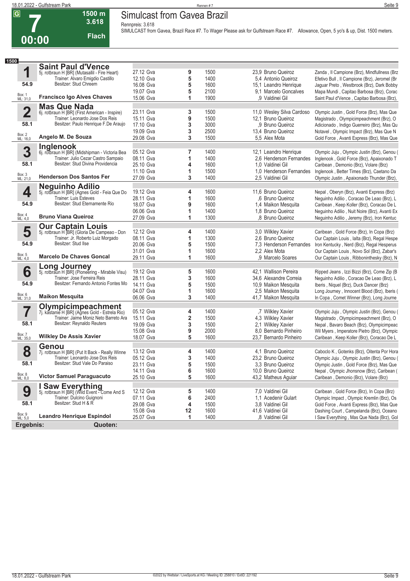**1**

Box: 1 ML: 31,0 **54.9**

Box: 2 ML: 16,0

Box: 3 ML: 21,0

**4**

**54.9**

**2**

**58.1**

**3**

**58.1**

**1500**

#### **Simulcast from Gavea Brazil**

**Rennpreis: 3.618**

**00:00**

**1500 m 3.618** 

| <b>Flach</b>                                   |           |   |      | SIMULCAST from Gavea, Brazil Race #7. To Wager Please ask for Gulfstream Race #7. Allowance, Open, 5 yo's & up, Dist. 1500 meters. |                                              |
|------------------------------------------------|-----------|---|------|------------------------------------------------------------------------------------------------------------------------------------|----------------------------------------------|
| 00                                             |           |   |      |                                                                                                                                    |                                              |
|                                                |           |   |      |                                                                                                                                    |                                              |
| <b>Saint Paul d'Vence</b>                      |           |   |      |                                                                                                                                    |                                              |
| 5j. rotbraun H [BR] (Mutasallil - Fire Heart)  | 27.12 Gva | 9 | 1500 | 23.9 Bruno Queiroz                                                                                                                 | Zanda, Il Campione (Brz), Mindfullness (Brz  |
| Trainer: Alvaro Emigdio Castillo               | 12.10 Gva | 5 | 1400 | 5,4 Antonio Queiroz                                                                                                                | Efetivo Bull, Il Campione (Brz), Jeromel (Br |
| Besitzer: Stud Chreem                          | 16.08 Gva | 5 | 1600 | 15,1 Leandro Henrique                                                                                                              | Jaguar Preto, Westbrook (Brz), Dark Bobby    |
|                                                | 19.07 Gva | 5 | 2100 | 9.1 Marcelo Goncalves                                                                                                              | Mapa Mundi, Capitao Barbosa (Brz), Corac     |
| <b>Francisco Igo Alves Chaves</b>              | 15.06 Gva | 1 | 1900 | .9 Valdinei Gil                                                                                                                    | Saint Paul d'Vence, Capitao Barbosa (Brz),   |
| <b>Mas Que Nada</b>                            |           |   |      |                                                                                                                                    |                                              |
| 6j. rotbraun H [BR] (First American - Inspire) | 23.11 Gva | 3 | 1500 | 11,0 Wesley Silva Cardoso                                                                                                          | Olympic Justin, Gold Force (Brz), Mas Que    |
| Trainer: Leonardo Jose Dos Reis                | 15.11 Gva | 9 | 1500 | 12,1 Bruno Queiroz                                                                                                                 | Magistrado, Olympicimpeachment (Brz), O      |
| Besitzer: Paulo Henrique F.De Araujo           | 17.10 Gva | 3 | 3000 | .9 Bruno Queiroz                                                                                                                   | Adicionado, Indigo Guerreiro (Brz), Mas Qu   |
|                                                | 19.09 Gva | 3 | 2500 | 13,4 Bruno Queiroz                                                                                                                 | Notavel, Olympic Impact (Brz), Mas Que N     |
| Angelo M. De Souza                             | 29.08 Gva | 3 | 1500 | 5.5 Alex Mota                                                                                                                      | Gold Force, Avanti Express (Brz), Mas Que    |
| Inglenook                                      |           |   |      |                                                                                                                                    |                                              |
| 6j. rotbraun H [BR] (Midshipman - Victoria Bea | 05.12 Gva | 7 | 1400 | 12,1 Leandro Henrique                                                                                                              | Olympic Juju, Olympic Justin (Brz), Genou (  |
| Trainer: Julio Cezar Castro Sampaio            | 08.11 Gva |   | 1400 | 2,6 Henderson Fernandes                                                                                                            | Inglenook, Gold Force (Brz), Apaixonado T    |
| Besitzer: Stud Divina Providencia              | 25.10 Gva | 4 | 1600 | 1.0 Valdinei Gil                                                                                                                   | Caribean, Demonio (Brz), Volare (Brz)        |
|                                                | 11.10 Gva | 1 | 1500 | 1.0 Henderson Fernandes                                                                                                            | Inglenook, Better Times (Brz), Caetano Da    |
| <b>Henderson Dos Santos Fer</b>                | 27.09 Gva | 3 | 1400 | 2.5 Valdinei Gil                                                                                                                   | Olympic Justin, Apaixonado Thunder (Brz),    |
| <b>Neguinho Adilio</b>                         |           |   |      |                                                                                                                                    |                                              |
| 5j. rotbraun H [BR] (Agnes Gold - Feia Que Do  | 19.12 Gva | 4 | 1600 | 11,6 Bruno Queiroz                                                                                                                 | Nepal, Oberyn (Brz), Avanti Express (Brz)    |
| <b>Trainer: Luis Esteves</b>                   | 28.11 Gva |   | 1600 | .6 Bruno Queiroz                                                                                                                   | Nequinho Adilio, Coracao De Leao (Brz), L    |
| Besitzer: Stud Eternamente Rio                 | 18.07 Gva | 9 | 1600 | 1,4 Maikon Mesquita                                                                                                                | Caribean, Keep Koller (Brz), Coracao De L    |
|                                                | 06.06 Gva |   | 1400 | 1.8 Bruno Queiroz                                                                                                                  | Neguinho Adilio, Nuit Noire (Brz), Avanti Ex |
| <b>Bruno Viana Queiroz</b>                     | 27.09 Gva | 1 | 1300 | ,8 Bruno Queiroz                                                                                                                   | Neguinho Adilio, Jeremy (Brz), Iron Kentuc   |
| <b>Our Captain Louis</b>                       |           |   |      |                                                                                                                                    |                                              |
| 5j. rotbraun H BR] (Gloria De Campeao - Don    | 12.12 Gva | 4 | 1400 | 3.0 Wilkley Xavier                                                                                                                 | Caribean, Gold Force (Brz), In Copa (Brz)    |
| Trainer: Jr. Roberto Luiz Morgado              | 08.11 Gva |   | 1300 | 2.6 Bruno Queiroz                                                                                                                  | Our Captain Louis, lalta (Brz), Regal Hespe  |
| Besitzer: Stud Ilse                            | 20.06 Gva | 5 | 1500 | 7.3 Henderson Fernandes                                                                                                            | Iron Kentucky, Nerd (Brz), Regal Hesperus    |
|                                                | 31.01 Gva |   | 1600 | 2.2 Alex Mota                                                                                                                      | Our Captain Louis, Novo Sol (Brz), Zabar's   |
| <b>Marcelo De Chaves Goncal</b>                | 29.11 Gya |   | 1600 | 9 Marcelo Soares                                                                                                                   | Our Cantain Louis Ribboninthesky (Rrz) N     |

|                    |                                                                             | 06.06 Gva |    | 1400 | 1.8 Bruno Queiroz       | Neguinho Adilio, Nuit Noire (Brz), Avanti Ex |
|--------------------|-----------------------------------------------------------------------------|-----------|----|------|-------------------------|----------------------------------------------|
| Box: 4<br>ML: 4,0  | <b>Bruno Viana Queiroz</b>                                                  | 27.09 Gva |    | 1300 | .8 Bruno Queiroz        | Neguinho Adilio, Jeremy (Brz), Iron Kentuc   |
|                    | <b>Our Captain Louis</b>                                                    |           |    |      |                         |                                              |
| 5                  | 5j. rotbraun H [BR] (Gloria De Campeao - Don                                | 12.12 Gva |    | 1400 | 3,0 Wilkley Xavier      | Caribean, Gold Force (Brz), In Copa (Brz)    |
|                    | Trainer: Jr. Roberto Luiz Morgado                                           | 08.11 Gva |    | 1300 | 2.6 Bruno Queiroz       | Our Captain Louis, Ialta (Brz), Regal Hespe  |
| 54.9               | Besitzer: Stud Ilse                                                         | 20.06 Gva | 5  | 1500 | 7.3 Henderson Fernandes | Iron Kentucky, Nerd (Brz), Regal Hesperus    |
|                    |                                                                             | 31.01 Gva |    | 1600 | 2.2 Alex Mota           | Our Captain Louis, Novo Sol (Brz), Zabar's   |
| Box: 5<br>ML: 4,0  | Marcelo De Chaves Goncal                                                    | 29.11 Gva |    | 1600 | ,9 Marcelo Soares       | Our Captain Louis, Ribboninthesky (Brz), N   |
|                    |                                                                             |           |    |      |                         |                                              |
| 6                  | <b>Long Journey</b><br>5j. rotbraun H [BR] (Pioneering - Mirabile Visu)     | 19.12 Gva | 5  | 1600 | 42.1 Wallison Pereira   | Ripped Jeans, Izzi Bizzi (Brz), Come Zip (B  |
|                    | Trainer: Jose Ferreira Reis                                                 | 28.11 Gva | 3  | 1600 | 34,6 Alexandre Correia  | Neguinho Adilio, Coracao De Leao (Brz), L    |
| 54.9               | Besitzer: Fernando Antonio Fontes Mo                                        | 14.11 Gva | 5  | 1500 | 10,9 Maikon Mesquita    | Iberis, Niquel (Brz), Duck Dancer (Brz)      |
|                    |                                                                             | 04.07 Gva |    | 1600 | 2,5 Maikon Mesquita     | Long Journey, Innocent Blood (Brz), Iberis ( |
| Box: 6<br>ML: 31,0 | <b>Maikon Mesquita</b>                                                      | 06.06 Gva | 3  | 1400 | 41,7 Maikon Mesquita    | In Copa, Comet Winner (Brz), Long Journe     |
|                    |                                                                             |           |    |      |                         |                                              |
| 7                  | <b>Olympicimpeachment</b><br>7j. kastanie H [BR] (Agnes Gold - Estrela Rio) | 05.12 Gva | 4  | 1400 | ,7 Wilkley Xavier       | Olympic Juju, Olympic Justin (Brz), Genou (  |
|                    | Trainer: Jaime Moniz Neto Barreto Ara                                       | 15.11 Gva | 2  | 1500 | 4,3 Wilkley Xavier      | Magistrado, Olympicimpeachment (Brz), O      |
| 58.1               | Besitzer: Reynaldo Reuters                                                  | 19.09 Gva | 3  | 1500 | 2.1 Wilkley Xavier      | Nepal, Bavaro Beach (Brz), Olympicimpeac     |
|                    |                                                                             | 15.08 Gva | 9  | 2000 | 8.0 Bernardo Pinheiro   | Wil Myers, Imperatore Pietro (Brz), Olympic  |
| Box: 7<br>ML: 35,0 | <b>Wilkley De Assis Xavier</b>                                              | 18.07 Gva | 5  | 1600 | 23.7 Bernardo Pinheiro  |                                              |
|                    |                                                                             |           |    |      |                         | Caribean, Keep Koller (Brz), Coracao De L    |
|                    | Genou                                                                       |           |    |      |                         |                                              |
| 8                  | 7j. rotbraun H [BR] (Put It Back - Really Winne                             | 13.12 Gva | 4  | 1400 | 4.1 Bruno Queiroz       | Caboclo K, Gotenks (Brz), Oitenta Por Hora   |
|                    | Trainer: Leonardo Jose Dos Reis                                             | 05.12 Gva | 3  | 1400 | 23.2 Bruno Queiroz      | Olympic Juju, Olympic Justin (Brz), Genou (  |
| 58.1               | Besitzer: Stud Vale Do Paraiso                                              | 23.11 Gva | 5  | 1500 | 3.3 Bruno Queiroz       | Olympic Justin, Gold Force (Brz), Mas Que    |
|                    |                                                                             | 14.11 Gva | 6  | 1600 | 10,0 Bruno Queiroz      | Nepal, Olympic Jhonsnow (Brz), Caribean (    |
| Box: 8<br>ML: 8,0  | <b>Victor Samuel Paraguacuto</b>                                            | 25.10 Gva | 5  | 1600 | 43,2 Matheus Aguiar     | Caribean, Demonio (Brz), Volare (Brz)        |
|                    | I Saw Everything                                                            |           |    |      |                         |                                              |
| 9                  | 5j. rotbraun H [BR] (Wild Event - Come And S                                | 12.12 Gva | 5  | 1400 | 7.0 Valdinei Gil        | Caribean, Gold Force (Brz), In Copa (Brz)    |
|                    | Trainer: Dulcino Guignoni                                                   | 07.11 Gva | 6  | 2400 | 1,1 Acedenir Gulart     | Olympic Impact, Olympic Kremlin (Brz), Os    |
| 58.1               | Besitzer: Stud H & R                                                        | 29.08 Gva |    | 1500 | 3.8 Valdinei Gil        | Gold Force, Avanti Express (Brz), Mas Que    |
|                    |                                                                             | 15.08 Gva | 12 | 1600 | 41,6 Valdinei Gil       | Dashing Court, Campelanda (Brz), Oceano      |
| Box: 9<br>ML: 5,0  | <b>Leandro Henrique Espindol</b>                                            | 25.07 Gva | 1  | 1400 | .8 Valdinei Gil         | I Saw Everything, Mas Que Nada (Brz), Gol    |
| Ergebnis:          | Quoten:                                                                     |           |    |      |                         |                                              |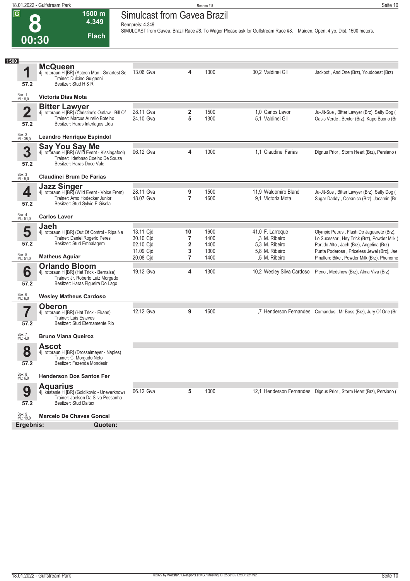|                                  | 18.01.2022 - Gulfstream Park                                                                                                                    |                                                        |                     | Rennen#8                     |                                                                                                                          | Seite 10                                                                                                                                                                           |
|----------------------------------|-------------------------------------------------------------------------------------------------------------------------------------------------|--------------------------------------------------------|---------------------|------------------------------|--------------------------------------------------------------------------------------------------------------------------|------------------------------------------------------------------------------------------------------------------------------------------------------------------------------------|
| $\overline{\mathsf{G}}$<br>00:30 | 1500 m<br>4.349<br><b>Flach</b>                                                                                                                 | <b>Simulcast from Gavea Brazil</b><br>Rennpreis: 4.349 |                     |                              | SIMULCAST from Gavea, Brazil Race #8. To Wager Please ask for Gulfstream Race #8. Maiden, Open, 4 yo, Dist. 1500 meters. |                                                                                                                                                                                    |
| 1500                             |                                                                                                                                                 |                                                        |                     |                              |                                                                                                                          |                                                                                                                                                                                    |
| 1<br>57.2                        | <b>McQueen</b><br>4j. rotbraun H [BR] (Acteon Man - Smartest Se<br>Trainer: Dulcino Guignoni<br>Besitzer: Stud H & R                            | 13.06 Gva                                              | 4                   | 1300                         | 30,2 Valdinei Gil                                                                                                        | Jackpot, And One (Brz), Youdobest (Brz)                                                                                                                                            |
| Box: 1<br>ML: 8,0                | <b>Victoria Dias Mota</b>                                                                                                                       |                                                        |                     |                              |                                                                                                                          |                                                                                                                                                                                    |
| $\overline{\mathbf{2}}$<br>57.2  | <b>Bitter Lawyer</b><br>4j. rotbraun H [BR] (Christine's Outlaw - Bill Of<br>Trainer: Marcus Aurelio Botelho<br>Besitzer: Haras Interlagos Ltda | 28.11 Gva<br>24.10 Gva                                 | 2<br>5              | 1500<br>1300                 | 1.0 Carlos Lavor<br>5.1 Valdinei Gil                                                                                     | Ju-Jit-Sue, Bitter Lawyer (Brz), Salty Dog (<br>Oasis Verde, Bextor (Brz), Kapo Buono (Br                                                                                          |
| Box: 2<br>ML: 35,0               | <b>Leandro Henrique Espindol</b>                                                                                                                |                                                        |                     |                              |                                                                                                                          |                                                                                                                                                                                    |
| 3<br>57.2                        | <b>Say You Say Me</b><br>4j. rotbraun H [BR] (Wild Event - Kissingafool)<br>Trainer: Ildefonso Coelho De Souza<br>Besitzer: Haras Doce Vale     | 06.12 Gva                                              | 4                   | 1000                         | 1.1 Claudinei Farias                                                                                                     | Dignus Prior, Storm Heart (Brz), Persiano (                                                                                                                                        |
| Box: 3<br>ML: 5,0                | <b>Claudinei Brum De Farias</b>                                                                                                                 |                                                        |                     |                              |                                                                                                                          |                                                                                                                                                                                    |
| 4<br>57.2                        | <b>Jazz Singer</b><br>4j. rotbraun H [BR] (Wild Event - Voice From)<br>Trainer: Arno Hodecker Junior<br>Besitzer: Stud Sylvio E Gisela          | 28.11 Gva<br>18.07 Gva                                 | 9<br>$\overline{7}$ | 1500<br>1600                 | 11.9 Waldomiro Blandi<br>9.1 Victoria Mota                                                                               | Ju-Jit-Sue, Bitter Lawyer (Brz), Salty Dog (<br>Sugar Daddy, Oceanico (Brz), Jacamin (Br                                                                                           |
| Box: 4<br>ML: 51,0               | <b>Carlos Lavor</b>                                                                                                                             |                                                        |                     |                              |                                                                                                                          |                                                                                                                                                                                    |
| 5<br>57.2                        | Jaeh<br>4j. rotbraun H [BR] (Out Of Control - Ripa Na<br>Trainer: Daniel Rogerio Peres<br>Besitzer: Stud Embalagem                              | 13.11 Cjd<br>30.10 Cjd<br>02.10 Cid<br>11.09 Cid       | 10<br>7<br>2<br>3   | 1600<br>1400<br>1400<br>1300 | 41,0 F. Larroque<br>,3 M. Ribeiro<br>5.3 M. Ribeiro<br>5,8 M. Ribeiro                                                    | Olympic Petrus, Flash Do Jaguarete (Brz),<br>Lo Sucessor, Hey Trick (Brz), Powder Milk (<br>Partido Alto, Jaeh (Brz), Angelina (Brz)<br>Punta Poderosa, Priceless Jewel (Brz), Jae |
| Box: 5<br>ML: 51,0               | <b>Matheus Aguiar</b>                                                                                                                           | 20.08 Cid                                              | 7                   | 1400                         | ,5 M. Ribeiro                                                                                                            | Pinallero Bike, Powder Milk (Brz), Phenome                                                                                                                                         |

| 57.2               | Besitzer: Stud Embalagem                                                                                                                    | 02.10 Cjd              | $\mathbf{2}$ | 1400         | 5.3 M. Ribeiro                  | Partido Alto, Jaeh (Brz), Angelina (Brz)                                                 |
|--------------------|---------------------------------------------------------------------------------------------------------------------------------------------|------------------------|--------------|--------------|---------------------------------|------------------------------------------------------------------------------------------|
| Box: 5<br>ML: 51,0 | <b>Matheus Aguiar</b>                                                                                                                       | 11.09 Cid<br>20.08 Cjd |              | 1300<br>1400 | 5,8 M. Ribeiro<br>.5 M. Ribeiro | Punta Poderosa, Priceless Jewel (Brz), Jae<br>Pinallero Bike, Powder Milk (Brz), Phenome |
| 6<br>57.2          | <b>Orlando Bloom</b><br>4j. rotbraun H [BR] (Hat Trick - Bernaise)<br>Trainer: Jr. Roberto Luiz Morgado<br>Besitzer: Haras Figueira Do Lago | 19.12 Gva              | 4            | 1300         | 10,2 Wesley Silva Cardoso       | Pleno, Medshow (Brz), Alma Viva (Brz)                                                    |
| Box: 6<br>ML: 6,0  | <b>Wesley Matheus Cardoso</b>                                                                                                               |                        |              |              |                                 |                                                                                          |
| 57.2               | <b>Oberon</b><br>4j. rotbraun H [BR] (Hat Trick - Ekans)<br>Trainer: Luis Esteves<br>Besitzer: Stud Eternamente Rio                         | 12.12 Gva              | 9            | 1600         |                                 | ,7 Henderson Fernandes Comandus, Mr Boss (Brz), Jury Of One (Br)                         |
| Box: 7<br>ML: 4,0  | <b>Bruno Viana Queiroz</b>                                                                                                                  |                        |              |              |                                 |                                                                                          |
| 8                  | <b>Ascot</b><br>4j. rotbraun H [BR] (Drosselmeyer - Naples)                                                                                 |                        |              |              |                                 |                                                                                          |
| 57.2               | Trainer: C. Morgado Neto<br>Besitzer: Fazenda Mondesir                                                                                      |                        |              |              |                                 |                                                                                          |
| Box: 8<br>ML: 6,0  | <b>Henderson Dos Santos Fer</b>                                                                                                             |                        |              |              |                                 |                                                                                          |
| 9<br>57.2          | <b>Aquarius</b><br>4j. kastanie H [BR] (Goldikovic - Uneverknow)<br>Trainer: Joelson Da Silva Pessanha<br>Besitzer: Stud Daltex             | 06.12 Gva              | 5            | 1000         |                                 | 12,1 Henderson Fernandes Dignus Prior, Storm Heart (Brz), Persiano (                     |

**Ergebnis: Quoten:**